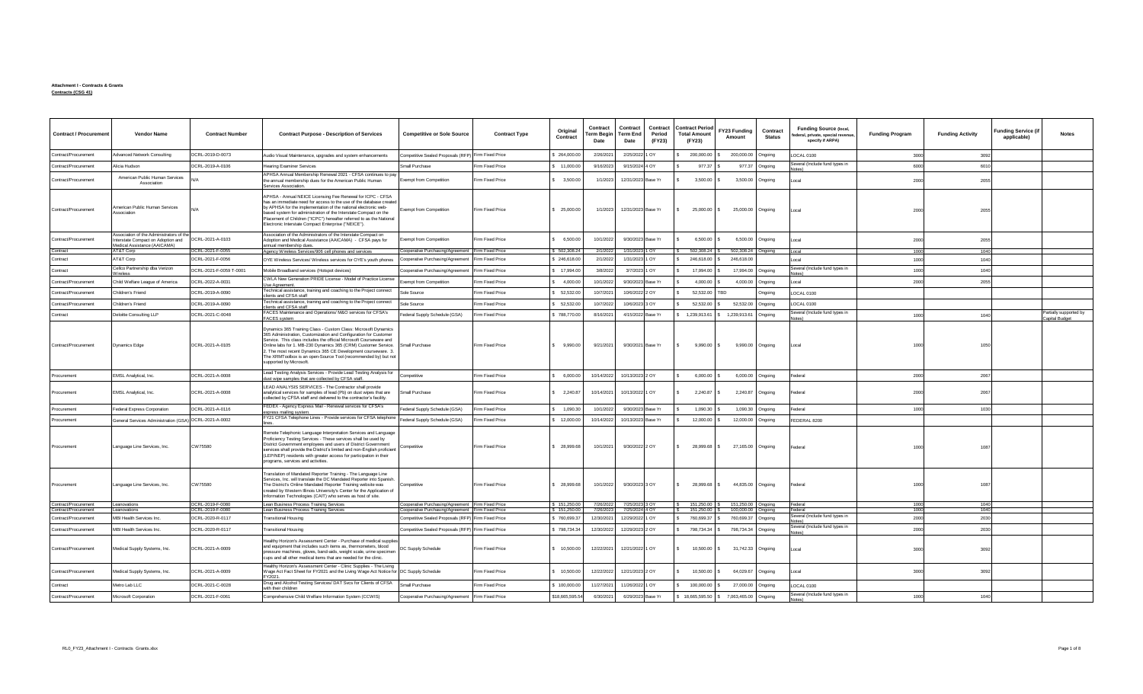## **Attachment I - Contracts & Grants Contracts (CSG 41)**

| <b>Contract / Procurement</b>                | <b>Vendor Name</b>                                                                                             | <b>Contract Number</b>               | <b>Contract Purpose - Description of Services</b>                                                                                                                                                                                                                                                                                                                                                                                        | <b>Competitive or Sole Source</b>                                                                      | <b>Contract Type</b> | Original<br>Contract         | Contract<br><b>Term Begin</b><br>Date | Contract<br>Contract<br>Term End<br>Period<br>(FY23)<br>Date | <b>Contract Period</b><br><b>Total Amount</b><br>(FY23) | FY23 Funding<br>Amount                   | Contract<br><b>Status</b> | <b>Funding Source (local,</b><br>ederal, private, special revenue,<br>specify if ARPA) | <b>Funding Program</b> | <b>Funding Activity</b> | <b>Funding Service (if</b><br>applicable) | <b>Notes</b>           |
|----------------------------------------------|----------------------------------------------------------------------------------------------------------------|--------------------------------------|------------------------------------------------------------------------------------------------------------------------------------------------------------------------------------------------------------------------------------------------------------------------------------------------------------------------------------------------------------------------------------------------------------------------------------------|--------------------------------------------------------------------------------------------------------|----------------------|------------------------------|---------------------------------------|--------------------------------------------------------------|---------------------------------------------------------|------------------------------------------|---------------------------|----------------------------------------------------------------------------------------|------------------------|-------------------------|-------------------------------------------|------------------------|
| Contract/Procurement                         | <b>Advanced Network Consulting</b>                                                                             | DCRL-2019-D-0073                     | Audio Visual Maintenance, upgrades and system enhancements                                                                                                                                                                                                                                                                                                                                                                               | Competitive Sealed Proposals (RFP) Firm Fixed Price                                                    |                      | \$ 264,000.00                | 2/26/2021                             | 2/25/2022 1 OY                                               | 200,000.00                                              | 200,000.00                               | Ongoing                   | LOCAL 0100                                                                             | 3000                   | 3092                    |                                           |                        |
| Contract/Procurement                         | Alicia Hudson                                                                                                  | DCRL-2019-A-0106                     | <b>Hearing Examiner Services</b>                                                                                                                                                                                                                                                                                                                                                                                                         | Small Purchase                                                                                         | Firm Fixed Price     | \$ 11,000.00                 | 9/16/2023                             | 9/15/2024 4 OY                                               | 977.37                                                  | 977.37                                   | Ongoing                   | Several (Include fund types in                                                         | 6000                   | 6010                    |                                           |                        |
| Contract/Procurement                         | American Public Human Services<br>Association                                                                  |                                      | APHSA Annual Membership Renewal 2021 - CFSA continues to pay<br>the annual membership dues for the American Public Human<br>Services Association.                                                                                                                                                                                                                                                                                        | Exempt from Competition                                                                                | Firm Fixed Price     | \$3,500.00                   | 1/1/2023                              | 12/31/2023 Base Yr                                           | 3,500.00                                                | 3,500.00                                 | Ongoing                   | Local                                                                                  | 2000                   | 2055                    |                                           |                        |
| Contract/Procurement                         | <b>Imerican Public Human Services</b><br>Association                                                           |                                      | APHSA - Annual NEICE Licensing Fee Renewal for ICPC - CFSA<br>has an immediate need for access to the use of the database created<br>by APHSA for the implementation of the national electronic web-<br>based system for administration of the Interstate Compact on the<br>Placement of Children ("ICPC") hereafter referred to as the National<br>Electronic Interstate Compact Enterprise ("NEICE").                                  | <b>Exempt from Competition</b>                                                                         | Firm Fixed Price     | \$25,000.00                  | 1/1/2023                              | 12/31/2023 Base Yr                                           | 25,000.00 \$<br>$\mathbf{s}$                            | 25,000.00 Ongoing                        |                           | Local                                                                                  | 2000                   | 2055                    |                                           |                        |
| Contract/Procurement                         | Association of the Administrators of the<br>Interstate Compact on Adoption and<br>Medical Assistance (AAICAMA) | DCRL-2021-A-0103                     | Association of the Administrators of the Interstate Compact on<br>Adoption and Medical Assistance (AAICAMA) - CFSA pays for<br>annual membership dues.                                                                                                                                                                                                                                                                                   | xempt from Competition                                                                                 | Firm Fixed Price     | \$6,500.00                   | 10/1/2022                             | 9/30/2023 Base Yr                                            | 6,500.00                                                | 6,500.00                                 | Ongoing                   | Local                                                                                  | 2000                   | 2055                    |                                           |                        |
| Contract                                     | AT&T Corp                                                                                                      | DCRL-2021-F-0055                     | Agency Wireless Services/906 cell phones and services                                                                                                                                                                                                                                                                                                                                                                                    | Cooperative Purchasing/Agreement Firm Fixed Price                                                      |                      | \$502,308.24                 | 2/1/2022                              | 1/31/2023 1 OY                                               | $$502,308.24$ \ \ \$                                    | 502,308.24 Ongoing                       |                           | Local                                                                                  | 1000                   | 1040                    |                                           |                        |
| Contract                                     | AT&T Corp                                                                                                      | DCRL-2021-F-0056                     | OYE Wireless Services/ Wireless services for OYE's youth phones                                                                                                                                                                                                                                                                                                                                                                          | Cooperative Purchasing/Agreement                                                                       | Firm Fixed Price     | \$246,618.00                 | 2/1/2022                              | 1/31/2023 1 OY                                               | $\mathbf{s}$<br>246,618.00                              | 246,618.00                               |                           | Local                                                                                  | 1000                   | 1040                    |                                           |                        |
| Contract                                     | Cellco Partnership dba Verizon                                                                                 | DCRL-2021-F-0059 T-0001              | Mobile Broadband services (Hotspot devices)                                                                                                                                                                                                                                                                                                                                                                                              | Cooperative Purchasing/Agreement                                                                       | Firm Fixed Price     | \$17,994.00                  | 3/8/2022                              | 3/7/2023 1 OY                                                | 17,994.00                                               | 17,994.00                                | Ongoing                   | Several (Include fund types in                                                         | 1000                   | 1040                    |                                           |                        |
| Contract/Procurement                         | Child Welfare League of America                                                                                | DCRL-2022-A-0031                     | CWLA New Generation PRIDE License - Model of Practice License<br>Ise Agreement.                                                                                                                                                                                                                                                                                                                                                          | <b>Exempt from Competition</b>                                                                         | Firm Fixed Price     | 4,000.00                     | 10/1/2022                             | 9/30/2023 Base Yr                                            | 4,000.00                                                | 4,000.00                                 | Ongoing                   | Local                                                                                  | 2000                   | 2055                    |                                           |                        |
| Contract/Procurement                         | Children's Friend                                                                                              | DCRL-2019-A-0090                     | Technical assistance, training and coaching to the Project connect                                                                                                                                                                                                                                                                                                                                                                       | <b>Sole Source</b>                                                                                     | Firm Fixed Price     | \$ 52,532.00                 | 10/7/2021                             | 10/6/2022 2 OY                                               | 52,532.00 TBD                                           |                                          | Ongoing                   | LOCAL 0100                                                                             |                        |                         |                                           |                        |
| Contract/Procurement                         | Children's Friend                                                                                              | DCRL-2019-A-0090                     | clients and CFSA staff<br>echnical assistance, training and coaching to the Project connect                                                                                                                                                                                                                                                                                                                                              | <b>Sole Source</b>                                                                                     | Firm Fixed Price     | \$ 52,532.00                 | 10/7/2022                             | 10/6/2023 3 OY                                               | 52,532.00                                               | 52,532.00                                | Ongoing                   | LOCAL 0100                                                                             |                        |                         |                                           |                        |
| Contract                                     | Deloitte Consulting LLP                                                                                        | DCRL-2021-C-0048                     | lients and CFSA staff<br>FACES Maintenance and Operations/ M&O services for CFSA's                                                                                                                                                                                                                                                                                                                                                       | Federal Supply Schedule (GSA)                                                                          | Firm Fixed Price     | \$788,770.00                 | 8/16/2021                             | 4/15/2022 Base Yr                                            | \$1,239,913.61 \$1,239,913.61                           |                                          | Ongoing                   | Several (Include fund types in                                                         | 1000                   | 1040                    |                                           | Partially supported by |
|                                              |                                                                                                                |                                      | FACES system                                                                                                                                                                                                                                                                                                                                                                                                                             |                                                                                                        |                      |                              |                                       |                                                              |                                                         |                                          |                           |                                                                                        |                        |                         |                                           | Capital Budget         |
| Contract/Procurement                         | <b>Dynamics Edge</b>                                                                                           | DCRL-2021-A-0105                     | Dynamics 365 Training Class - Custom Class: Microsoft Dynamics<br>365 Administration, Customization and Configuration for Customer<br>Service. This class includes the official Microsoft Courseware and<br>Online labs for 1. MB-230 Dynamics 365 (CRM) Customer Service.<br>2. The most recent Dynamics 365 CE Development courseware. 3.<br>The XRMToolbox is an open-Source Tool (recommended by) but not<br>supported by Microsoft. | Small Purchase                                                                                         | Firm Fixed Price     | \$9,990.00                   | 9/21/2021                             | 9/30/2021 Base Yr                                            | 9,990.00 \$<br>$\mathbf{s}$                             | 9,990.00 Ongoing                         |                           | II ocal                                                                                | 1000                   | 1050                    |                                           |                        |
| Procurement                                  | EMSL Analytical, Inc.                                                                                          | DCRL-2021-A-0008                     | Lead Testing Analysis Services - Provide Lead Testing Analysis for<br>dust wipe samples that are collected by CFSA staff.                                                                                                                                                                                                                                                                                                                | Competitive                                                                                            | Firm Fixed Price     | 6,000.00                     | 10/14/2022                            | 10/13/2023 2 OY                                              | 6,000.00                                                | 6,000.00                                 | Onaoinc                   | Federal                                                                                | 2000                   | 2067                    |                                           |                        |
| Procurement                                  | EMSL Analytical, Inc.                                                                                          | DCRL-2021-A-0008                     | LEAD ANALYSIS SERVICES - The Contractor shall provide<br>analytical services for samples of lead (Pb) on dust wipes that are<br>collected by CFSA staff and delivered to the contractor's facility.                                                                                                                                                                                                                                      | Small Purchase                                                                                         | Firm Fixed Price     | \$2,240.87                   | 10/14/2021                            | 10/13/2022 1 OY                                              | 2,240.87<br>$\hat{\mathbf{z}}$                          | 2,240.87                                 | Ongoing                   | Federal                                                                                | 2000                   | 2067                    |                                           |                        |
| Procurement                                  | <b>Federal Express Corporation</b>                                                                             | DCRI-2021-A-0116                     | FEDEX - Agency Express Mail - Renewal services for CFSA's<br>express mailing system                                                                                                                                                                                                                                                                                                                                                      | Federal Supply Schedule (GSA)                                                                          | Firm Fixed Price     | \$ 1.090.30                  | 10/1/2022                             | 9/30/2023 Base Yr                                            | 1,090.30 \$                                             | 1,090.30                                 | Ongoing                   | Federal                                                                                | 1000                   | 1030                    |                                           |                        |
| Procurement                                  | General Services Administration (GSA) DCRL-2021-A-0002                                                         |                                      | FY21 CFSA Telephone Lines - Provide services for CFSA telephone                                                                                                                                                                                                                                                                                                                                                                          | Federal Supply Schedule (GSA)                                                                          | Firm Fixed Price     | 12,000.00                    | 10/14/2022                            | 10/13/2023 Base Yr                                           | 12,000.00                                               | 12,000.00                                | Ongoing                   | FEDERAL 8200                                                                           |                        |                         |                                           |                        |
| Procurement                                  | Language Line Services, Inc.                                                                                   | CW75580                              | Remote Telephonic Language Interpretation Services and Language<br>Proficiency Testing Services - These services shall be used by<br>District Government employees and users of District Government<br>services shall provide the District's limited and non-English proficient<br>(LEP/NEP) residents with greater access for participation in their<br>programs, services and activities.                                              | Competitive                                                                                            | Firm Fixed Price     | \$ 28,999.68                 | 10/1/2021                             | 9/30/2022 2 OY                                               | 28,999.68<br>s.                                         | 27,165.00 Ongoing                        |                           | Federal                                                                                | 1000                   | 108                     |                                           |                        |
| Procurement                                  | Language Line Services, Inc.                                                                                   | CW75580                              | Translation of Mandated Reporter Training - The Language Line<br>Services, Inc. will translate the DC Mandated Reporter into Spanish.<br>The District's Online Mandated Reporter Training website was<br>created by Western Illinois University's Center for the Application of<br>Information Technologies (CAIT) who serves as host of site.                                                                                           | Competitive                                                                                            | Firm Fixed Price     | \$ 28,999.68                 | 10/1/2022                             | 9/30/2023 3 OY                                               | 28,999.68 \$<br>$\hat{\mathbf{z}}$                      | 44,835.00 Ongoing                        |                           | Federal                                                                                | 1000                   | 1087                    |                                           |                        |
| Contract/Procurement<br>Contract/Procurement | Leanovations<br>Leanovations                                                                                   | DCRL-2019-F-0080<br>DCRL-2019-F-0080 | Lean Business Process Training Services<br>Lean Business Process Training Services                                                                                                                                                                                                                                                                                                                                                       | Cooperative Purchasing/Agreement Firm Fixed Price<br>Cooperative Purchasing/Agreement Firm Fixed Price |                      | \$151,250.00<br>\$151,250.00 | 7/26/2022<br>7/26/2023                | 7/25/2023 3 OY<br>7/25/2024 4 OY                             | 151,250.00 S<br>l s<br>$\frac{1}{2}$ 151,250.00 \$      | 151,250.00 Ongoing<br>100,000.00 Ongoing |                           | Federal<br>Federal                                                                     | 1000<br>1000           | 1040<br>1040            |                                           |                        |
| Contract/Procurement                         | MBI Health Services Inc.                                                                                       | DCRL-2020-R-0117                     | <b>Transitional Housing</b>                                                                                                                                                                                                                                                                                                                                                                                                              | Competitive Sealed Proposals (RFP) Firm Fixed Price                                                    |                      | \$760,699.37                 | 12/30/2021                            | 12/29/2022 1 OY                                              | 760,699.37<br>s.                                        | 760,699.37                               | Ongoing                   | Several (Include fund types in<br>Notes                                                | 2000                   | 2030                    |                                           |                        |
| Contract/Procurement                         | MBI Health Services Inc.                                                                                       | DCRL-2020-R-0117                     | <b>Transitional Housing</b>                                                                                                                                                                                                                                                                                                                                                                                                              | Competitive Sealed Proposals (RFP) Firm Fixed Price                                                    |                      | \$798,734.34                 | 12/30/2022                            | 12/29/2023 2 OY                                              | 798,734.34                                              | 798,734.34                               | Ongoing                   | Several (Include fund types in                                                         | 2000                   | 2030                    |                                           |                        |
| Contract/Procurement                         | Medical Supply Systems, Inc.                                                                                   | DCRL-2021-A-0009                     | Healthy Horizon's Assessment Center - Purchase of medical supplie<br>and equipment that includes such items as, thermometers, blood<br>pressure machines, gloves, band-aids, weight scale, urine specimen<br>cups and all other medical items that are needed for the clinic.                                                                                                                                                            | DC Supply Schedule                                                                                     | Firm Fixed Price     | \$ 10,500.00                 | 12/22/2021                            | 12/21/2022 1 OY                                              | 10,500.00 \$                                            | 31,742.33 Ongoing                        |                           | Local                                                                                  | 3000                   | 3092                    |                                           |                        |
| Contract/Procurement                         | Medical Supply Systems, Inc.                                                                                   | DCRL-2021-A-0009                     | Healthy Horizon's Assessment Center - Clinic Supplies - The Living<br>Wage Act Fact Sheet for FY2021 and the Living Wage Act Notice for DC Supply Schedule<br>FY2021.                                                                                                                                                                                                                                                                    |                                                                                                        | Firm Fixed Price     | \$10,500.00                  | 12/22/2022                            | 12/21/2023 2 OY                                              | 10,500.00                                               | 64,029.67                                | Ongoing                   | Local                                                                                  | 3000                   | 3092                    |                                           |                        |
| Contract                                     | Metro Lab LLC                                                                                                  | DCRL-2021-C-0028                     | Drug and Alcohol Testing Services/ DAT Svcs for Clients of CFSA<br>with their children                                                                                                                                                                                                                                                                                                                                                   | Small Purchase                                                                                         | Firm Fixed Price     | \$100,000.00                 | 11/27/2021                            | 11/26/2022 1 OY                                              | 100,000.00                                              | 27,000.00                                | Ongoing                   | LOCAL 0100                                                                             |                        |                         |                                           |                        |
| Contract/Procurement                         | Microsoft Corporation                                                                                          | DCRL-2021-F-0061                     | Comprehensive Child Welfare Information System (CCWIS)                                                                                                                                                                                                                                                                                                                                                                                   | Cooperative Purchasing/Agreement Firm Fixed Price                                                      |                      | \$18,665,595.54              | 6/30/2021                             | 6/29/2023 Base Yr                                            | \$ 18,665,595.50 \$ 7,063,465.00 Ongoing                |                                          |                           | Several (Include fund types in                                                         | 1000                   | 1040                    |                                           |                        |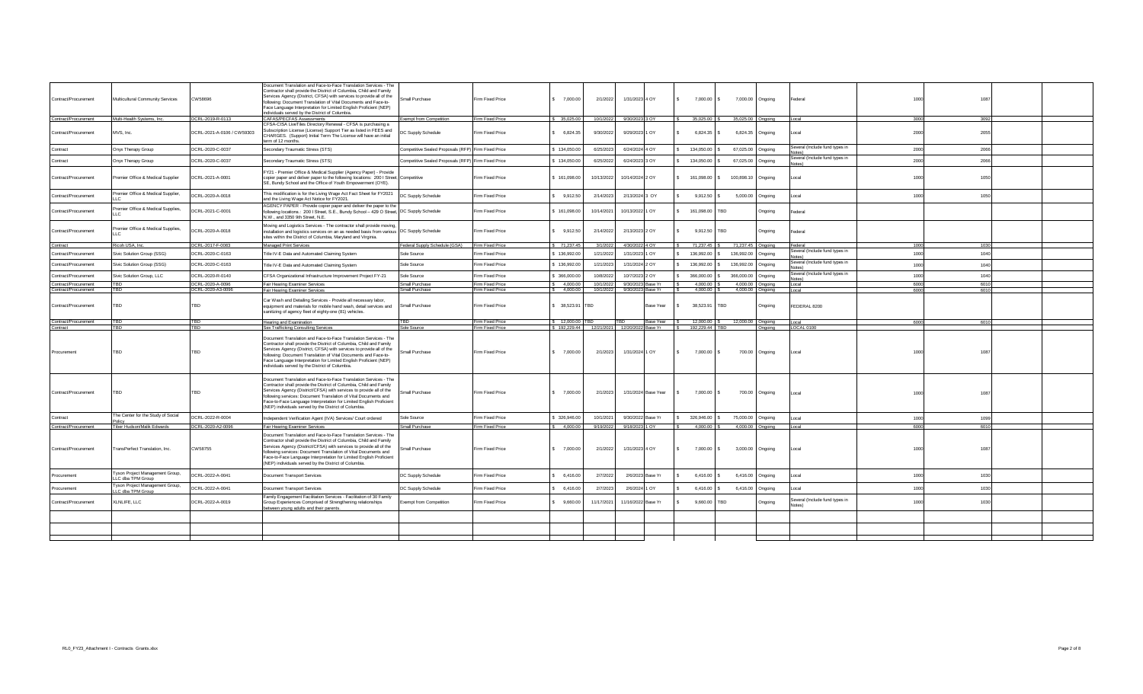|                                |                                                      |                            | Document Translation and Face-to-Face Translation Services - The<br>Contractor shall provide the District of Columbia, Child and Family                                                                                                                                                                                                                                                                           |                                                     |                                      |                  |                                            |                             |                     |                          |                             |                              |                                          |      |      |  |
|--------------------------------|------------------------------------------------------|----------------------------|-------------------------------------------------------------------------------------------------------------------------------------------------------------------------------------------------------------------------------------------------------------------------------------------------------------------------------------------------------------------------------------------------------------------|-----------------------------------------------------|--------------------------------------|------------------|--------------------------------------------|-----------------------------|---------------------|--------------------------|-----------------------------|------------------------------|------------------------------------------|------|------|--|
| Contract/Procurement           | Multicultural Community Services                     | <b>CW58696</b>             | Services Agency (District, CFSA) with services to provide all of the<br>following: Document Translation of Vital Documents and Face-to-<br>Face Language Interpretation for Limited English Proficient (NEP)                                                                                                                                                                                                      | Small Purchase                                      | Firm Fixed Price                     | \$7,000.00       | 2/1/2022                                   | 1/31/2023 4 OY              |                     | $\sim$                   | 7,000.00<br>IS.             | 7,000.00 Ongoing             | Federal                                  | 1000 | 1087 |  |
| Contract/Procurement           | Multi-Health Systems, Inc.                           | DCRL-2019-R-0113           | individuals served by the District of Columbia.<br>CAFAS/PECFAS Assessments                                                                                                                                                                                                                                                                                                                                       | <b>Exempt from Competition</b>                      | Firm Fixed Price                     | \$35,025.00      |                                            | 10/1/2022 9/30/2023 3 OY    |                     |                          | 35,025.00                   | 35,025.00 Ongoing            | Local                                    | 3000 | 3092 |  |
| Contract/Procurement           | MVS, Inc.                                            | DCRL-2021-A-0106 / CW59303 | CFSA-CISA LiveTiles Directory Renewal - CFSA is purchasing a<br>Subscription License (License) Support Tier as listed in FEES and<br>CHARGES. (Support) Initial Term The License will have an initial<br>erm of 12 months.                                                                                                                                                                                        | DC Supply Schedule                                  | Firm Fixed Price                     | \$6,824.35       | 9/30/2022                                  | 9/29/2023 1 OY              |                     | $\mathbf{s}$             | 6,824.35                    | 6,824.35 Ongoing             | Local                                    | 2000 | 2055 |  |
| Contract                       | Onyx Therapy Group                                   | DCRL-2020-C-0037           | Secondary Traumatic Stress (STS)                                                                                                                                                                                                                                                                                                                                                                                  | Competitive Sealed Proposals (RFP) Firm Fixed Price |                                      | \$134,050.00     | 6/25/2023                                  | 6/24/2024 4 OY              |                     |                          | 134,050.00                  | 67,025.00 Ongoing            | Several (Include fund types in           | 2000 | 2066 |  |
| ontract                        | Onyx Therapy Group                                   | DCRL-2020-C-0037           | Secondary Traumatic Stress (STS)                                                                                                                                                                                                                                                                                                                                                                                  | Competitive Sealed Proposals (RFP) Firm Fixed Price |                                      | 134,050.00       | 6/25/2022                                  | 6/24/2023 3 OY              |                     | $\sim$                   | 134,050.00                  | 67,025.00 Ongoing            | Several (Include fund types in           | 2000 | 2066 |  |
| Contract/Procurement           | Premier Office & Medical Supplier                    | DCRL-2021-A-0001           | FY21 - Premier Office & Medical Supplier (Agency Paper) - Provide<br>copier paper and deliver paper to the following locations: 200 I Street, Competitive<br>SE, Bundy School and the Office of Youth Empowerment (OYE).                                                                                                                                                                                          |                                                     | Firm Fixed Price                     | 161,098.00       | 10/13/2022                                 | 10/14/2024 2 OY             |                     |                          | 161,098.00                  | 100,898.10 Ongoing           | Local                                    | 1000 | 1050 |  |
| Contract/Procurement           | Premier Office & Medical Supplier,                   | DCRL-2020-A-0018           | This modification is for the Living Wage Act Fact Sheet for FY2021<br>and the Living Wage Act Notice for FY2021.                                                                                                                                                                                                                                                                                                  | <b>C Supply Schedule</b>                            | Firm Fixed Price                     | 9,912.50         | 2/14/2023                                  | 2/13/2024 3 OY              |                     |                          | 9,912.50                    | 5,000.00 Ongoing             | Local                                    | 1000 | 1050 |  |
| Contract/Procurement           | Premier Office & Medical Supplies,                   | DCRL-2021-C-0001           | AGENCY PAPER - Provide copier paper and deliver the paper to the<br>following locations.: 200 I Street, S.E., Bundy School - 429 O Street, DC Supply Schedule<br>N.W., and 3350 9th Street, N.E.                                                                                                                                                                                                                  |                                                     | Firm Fixed Price                     | 161,098.00       | 10/14/2021                                 | 10/13/2022 1 OY             |                     |                          | 161.098.00<br><b>TBD</b>    | Onaoina                      | Federal                                  |      |      |  |
| Contract/Procurement           | Premier Office & Medical Supplies,                   | CRL-2020-A-0018            | Moving and Logistics Services - The contractor shall provide moving,<br>installation and logistics services on an as needed basis from various DC Supply Schedule<br>sites within the District of Columbia, Maryland and Virginia.                                                                                                                                                                                |                                                     | Firm Fixed Price                     | \$9.912.50       | 2/14/2022                                  | 2/13/2023 2 OY              |                     | S                        | 9.912.50 TBD                | Ongoing                      | Federal                                  |      |      |  |
| ontract                        | Ricoh USA, Inc.                                      | DCRL-2017-F-0083           | Managed Print Services                                                                                                                                                                                                                                                                                                                                                                                            | Federal Supply Schedule (GSA)                       | Firm Fixed Price                     | \$71,237.45      | 3/1/2022                                   | 4/30/2022 4 OY              |                     |                          | 71,237.45                   | 71,237.45 Ongoing            | Federal                                  | 1000 | 1030 |  |
| ontract/Procurement            | Sivic Solution Group (SSG)                           | DCRL-2020-C-0163           | Title IV-E Data and Automated Claiming System                                                                                                                                                                                                                                                                                                                                                                     | Sole Source                                         | Firm Fixed Price                     | \$136,992.00     | 1/21/2022                                  | 1/31/2023 1 OY              |                     | $\mathbf{s}$             | 136,992.00                  | 136,992.00 Ongoing           | Several (Include fund types in           | 1000 | 1040 |  |
| Contract/Procurement           | Sivic Solution Group (SSG)                           | DCRL-2020-C-0163           | Title IV-E Data and Automated Claiming System                                                                                                                                                                                                                                                                                                                                                                     | Sole Source                                         | Firm Fixed Price                     | 136,992.00       | 1/21/2023                                  | 1/31/2024 2 OY              |                     |                          | 136,992.00                  | 136,992.00 Ongoing           | everal (Include fund types in            | 1000 | 1040 |  |
| Contract/Procurement           | Sivic Solution Group, LLC                            | DCRL-2020-R-0140           | CFSA Organizational Infrastructure Improvement Project FY-21                                                                                                                                                                                                                                                                                                                                                      | Sole Source                                         | Firm Fixed Price                     | \$ 366,000.00    | 10/8/2022                                  | 10/7/2023 2 OY              |                     |                          | 366,000.00                  | 366,000.00 Ongoing           | Several (Include fund types in<br>(ashol | 1000 | 1040 |  |
| ontract/Procurement            |                                                      | CRL-2020-A-0096            | Fair Hearing Examiner Services                                                                                                                                                                                                                                                                                                                                                                                    | Small Purchase                                      | Firm Fixed Price                     | 6 4.000.00       | 10/1/2022                                  | 9/30/2023 Base Yr           |                     |                          | 4,000.00                    | 4,000.00 Ongoing             | Local                                    | 6000 | 6010 |  |
| ontract/Procurement            |                                                      | OCRL-2020-A3-0096          | Fair Hearing Examiner Services                                                                                                                                                                                                                                                                                                                                                                                    | Small Purchase                                      | Firm Fixed Price                     | 4,000.00         |                                            | 10/1/2022 9/30/2023 Base Yr |                     |                          | 4,000.00                    | 4,000.00 Ongoing             | Local                                    | 6000 | 6010 |  |
| Contract/Procurement           | TBD                                                  | TBD                        | Car Wash and Detailing Services - Provide all necessary labor,<br>equipment and materials for mobile hand wash, detail services and<br>sanitizing of agency fleet of eighty-one (81) vehicles.                                                                                                                                                                                                                    | Small Purchase                                      | Firm Fixed Price                     | \$ 38,523.91 TBD |                                            |                             | Base Year           | $\sim$                   | 38,523.91<br>TBD            | Onaoina                      | FEDERAL 8200                             |      |      |  |
| ontract/Procurement<br>ontract | BD                                                   | <b>TBD</b><br>TBD          | Hearing and Examination<br>Sex Trafficking Consulting Services                                                                                                                                                                                                                                                                                                                                                    | <b>TBD</b><br>Sole Source                           | Firm Fixed Price<br>Firm Fixed Price | \$12,000.00 TBD  | \$192,229.44 12/21/2021 12/20/2022 Base Yr | <b>TBD</b>                  | <b>Base Year</b>    | IS.                      | 12,000.00<br>192,229.44 TBD | 12,000.00 Ongoing<br>Onaoina | ll ocal<br>LOCAL 0100                    | 6000 | 6010 |  |
| rocurement                     | TBD                                                  | TBD                        | Document Translation and Face-to-Face Translation Services - The<br>Contractor shall provide the District of Columbia, Child and Family<br>Services Agency (District, CFSA) with services to provide all of the<br>following: Document Translation of Vital Documents and Face-to-<br>Face Language Interpretation for Limited English Proficient (NEP)<br>individuals served by the District of Columbia.        | Small Purchase                                      | Firm Fixed Price                     | \$7,000.00       | 2/1/2023                                   | 1/31/2024 1 OY              |                     | $\sim$                   | 7,000.00 \$                 | 700.00 Ongoing               | Local                                    | 1000 | 109  |  |
| Contract/Procurement           | TBD                                                  | TBD                        | Document Translation and Face-to-Face Translation Services - The<br>Contractor shall provide the District of Columbia, Child and Family<br>Services Agency (District/CFSA) with services to provide all of the<br>following services: Document Translation of Vital Documents and<br>Face-to-Face Language Interpretation for Limited English Proficient<br>(NEP) individuals served by the District of Columbia. | mall Purchase                                       | Firm Fixed Price                     | \$7,000.00       | 2/1/2023                                   |                             | 1/31/2024 Base Year | $\overline{\phantom{a}}$ | 7,000.00 \$                 | 700.00 Ongoing               | I ocal                                   | 1000 |      |  |
| Contract                       | The Center for the Study of Social                   | DCRL-2022-R-0004           | Independent Verification Agent (IVA) Services/ Court ordered                                                                                                                                                                                                                                                                                                                                                      | Sole Source                                         | Firm Fixed Price                     | \$326,946.00     | 10/1/2021                                  | 9/30/2022 Base Yr           |                     |                          | 326,946.00                  | 75,000.00 Ongoing            | Local                                    | 1000 | 1099 |  |
| Contract/Procurement           | Tiber Hudson/Malik Edwards                           | DCRL-2020-A2-0096          | Fair Hearing Examiner Services                                                                                                                                                                                                                                                                                                                                                                                    | Small Purchase                                      | Firm Fixed Price                     | \$4,000.00       |                                            | 9/19/2022 9/18/2023 1 OY    |                     |                          | 4,000.00                    | 4,000.00 Ongoing             | I ocal                                   | 6000 | 6010 |  |
| Contract/Procurement           | TransPerfect Translation, Inc.                       | CW58755                    | Document Translation and Face-to-Face Translation Services - The<br>Contractor shall provide the District of Columbia, Child and Family<br>Services Agency (District/CFSA) with services to provide all of the<br>following services: Document Translation of Vital Documents and                                                                                                                                 | mall Purchase                                       | Firm Fixed Price                     | \$7,000.00       | 2/1/2022                                   | 1/31/2023 4 OY              |                     | $\sim$                   | 7,000.00 \$                 | 3,000.00 Ongoing             | Local                                    | 1000 | 1087 |  |
|                                |                                                      |                            | Face-to-Face Language Interpretation for Limited English Proficient<br>(NEP) individuals served by the District of Columbia.                                                                                                                                                                                                                                                                                      |                                                     |                                      |                  |                                            |                             |                     |                          |                             |                              |                                          |      |      |  |
| rocurement                     | Tyson Project Management Group,<br>LLC dba TPM Group | DCRL-2022-A-0041           | Document Transport Services                                                                                                                                                                                                                                                                                                                                                                                       | DC Supply Schedule                                  | Firm Fixed Price                     | 6.416.00         | 2/7/2022                                   | 2/6/2023 Base Yr            |                     |                          | 6,416.00                    | 6,416.00 Ongoing             | Local                                    | 1000 | 1030 |  |
| rocurement                     | Vson Project Management Group,                       | DCRL-2022-A-0041           | Document Transport Services                                                                                                                                                                                                                                                                                                                                                                                       | DC Supply Schedule                                  | Firm Fixed Price                     | 6,416.00         | 2/7/2023                                   | 2/6/2024 1 OY               |                     | $\sim$                   | 6,416.00                    | 6,416.00 Ongoing             | Local                                    | 1000 | 1030 |  |
| Contract/Procurement           | LC dba TPM Group<br>XLNLIFE, LLC                     | DCRL-2022-A-0019           | Family Engagement Facilitation Services - Facilitation of 30 Family<br>Group Experiences Comprised of Strengthening relationships<br>between young adults and their parents.                                                                                                                                                                                                                                      | Exempt from Competition                             | Firm Fixed Price                     | \$9,660.00       | 11/17/2021                                 | 11/16/2022 Base Yr          |                     | $\sim$                   | 9,660.00<br>TBD             | Onaoina                      | Several (Include fund types in           | 1000 | 1030 |  |
|                                |                                                      |                            |                                                                                                                                                                                                                                                                                                                                                                                                                   |                                                     |                                      |                  |                                            |                             |                     |                          |                             |                              |                                          |      |      |  |
|                                |                                                      |                            |                                                                                                                                                                                                                                                                                                                                                                                                                   |                                                     |                                      |                  |                                            |                             |                     |                          |                             |                              |                                          |      |      |  |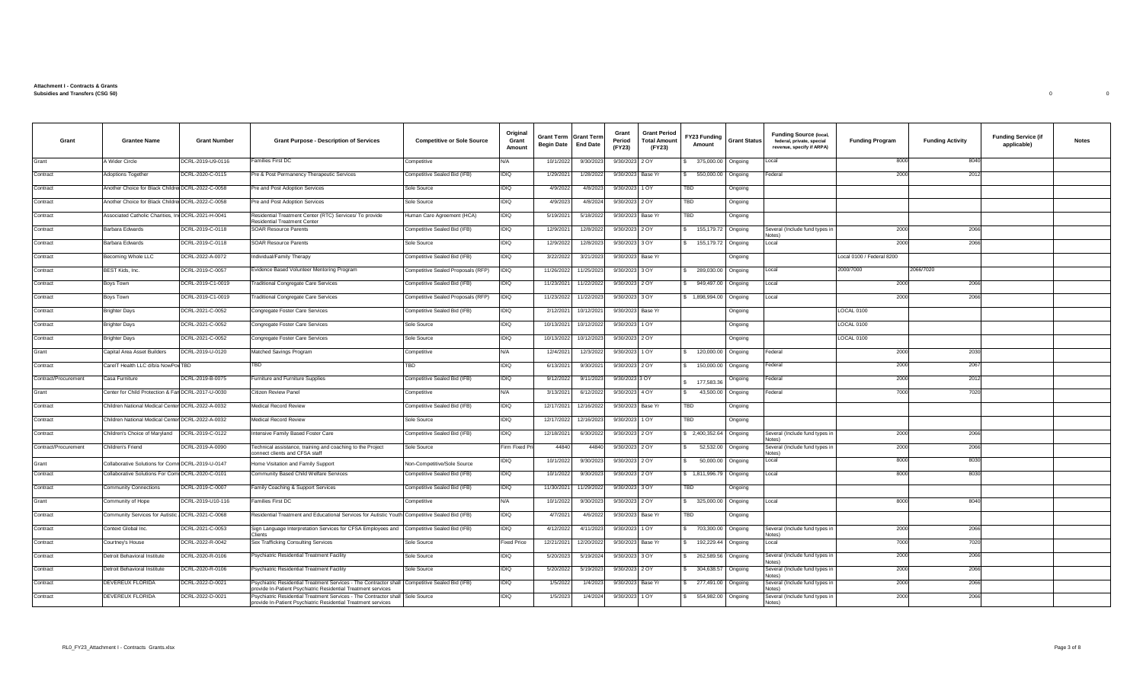## **Attachment I - Contracts & Grants Subsidies and Transfers (CSG 50)** 0 0

| Grant                | <b>Grantee Name</b>                                | <b>Grant Number</b> | <b>Grant Purpose - Description of Services</b>                                                                                                 | <b>Competitive or Sole Source</b>  | Original<br>Grant<br>Amount | <b>Grant Term Grant Term</b><br><b>Begin Date</b> | <b>End Date</b> | Grant<br>Period<br>(FY23) | <b>Grant Period</b><br><b>Total Amount</b><br>(FY23) | FY23 Funding<br>Amount | <b>Grant Status</b> | <b>Funding Source (local,</b><br>federal, private, special<br>revenue, specify if ARPA) | <b>Funding Program</b>    | <b>Funding Activity</b> | <b>Funding Service (if</b><br>applicable) | Notes |
|----------------------|----------------------------------------------------|---------------------|------------------------------------------------------------------------------------------------------------------------------------------------|------------------------------------|-----------------------------|---------------------------------------------------|-----------------|---------------------------|------------------------------------------------------|------------------------|---------------------|-----------------------------------------------------------------------------------------|---------------------------|-------------------------|-------------------------------------------|-------|
| Grant                | A Wider Circle                                     | DCRL-2019-U9-0116   | Families First DC                                                                                                                              | Competitive                        | A/V                         | 10/1/2022                                         | 9/30/2023       | 9/30/2023 2 OY            |                                                      | 375,000.00             | Ongoing             | Local                                                                                   | 8000                      | 8040                    |                                           |       |
| Contract             | Adoptions Together                                 | DCRL-2020-C-0115    | Pre & Post Permanency Therapeutic Services                                                                                                     | Competitive Sealed Bid (IFB)       | IDIQ                        | 1/29/2021                                         | 1/28/2022       | 9/30/2023 Base Yr         |                                                      | 550,000.00             | Ongoing             | Federal                                                                                 | 2000                      | 2012                    |                                           |       |
| Contract             | Another Choice for Black Childre DCRL-2022-C-0058  |                     | Pre and Post Adoption Services                                                                                                                 | Sole Source                        | IDIQ                        | 4/9/2022                                          | 4/8/2023        | 9/30/2023                 | 1 OY                                                 | TBD                    | Ongoing             |                                                                                         |                           |                         |                                           |       |
| Contract             | Another Choice for Black Childre DCRL-2022-C-0058  |                     | Pre and Post Adoption Services                                                                                                                 | Sole Source                        | IDIQ                        | 4/9/202                                           | 4/8/2024        | 9/30/2023                 | 2 OY                                                 | TBD                    | Ongoing             |                                                                                         |                           |                         |                                           |       |
| Contract             | Associated Catholic Charities, In                  | DCRL-2021-H-0041    | Residential Treatment Center (RTC) Services/ To provide<br>Residential Treatment Center                                                        | Human Care Agreement (HCA)         | DIQ                         | 5/19/202                                          | 5/18/2022       | 9/30/2023                 | Base Yr                                              | TBD                    | Ongoing             |                                                                                         |                           |                         |                                           |       |
| Contract             | Barbara Edwards                                    | DCRL-2019-C-0118    | <b>SOAR Resource Parents</b>                                                                                                                   | Competitive Sealed Bid (IFB)       | DIQ                         | 12/9/202                                          | 12/8/2022       | 9/30/2023 2 OY            |                                                      | 155, 179. 72           | Ongoing             | Several (Include fund types in<br>( <i>petol</i>                                        | 2000                      | 2066                    |                                           |       |
| Contract             | Barbara Edwards                                    | DCRL-2019-C-0118    | <b>SOAR Resource Parents</b>                                                                                                                   | Sole Source                        | DIQ                         | 12/9/2022                                         | 12/8/2023       | 9/30/2023 3 OY            |                                                      | 155,179.72             | Ongoing             | Local                                                                                   | 2000                      | 2066                    |                                           |       |
| Contract             | Becoming Whole LLC                                 | DCRL-2022-A-0072    | ndividual/Family Therapy                                                                                                                       | Competitive Sealed Bid (IFB)       | DIQ                         | 3/22/202                                          | 3/21/2023       | 9/30/2023                 | Base Yr                                              |                        | Ongoing             |                                                                                         | Local 0100 / Federal 8200 |                         |                                           |       |
| Contract             | BEST Kids, Inc.                                    | DCRL-2019-C-0057    | Evidence Based Volunteer Mentoring Program                                                                                                     | Competitive Sealed Proposals (RFP) | DIQ                         | 11/26/2022                                        | 11/25/2023      | 9/30/2023                 | 3 OY                                                 | 289.030.00             | Ongoing             | Local                                                                                   | 2000/7000                 | 2066/7020               |                                           |       |
| Contract             | Boys Town                                          | DCRL-2019-C1-0019   | <b>Traditional Congregate Care Services</b>                                                                                                    | Competitive Sealed Bid (IFB)       | IDIQ                        | 11/23/202                                         | 11/22/2022      | 9/30/2023 2 OY            |                                                      | 949,497.00             | Ongoing             | Local                                                                                   | 2000                      | 2066                    |                                           |       |
| Contract             | Boys Town                                          | DCRL-2019-C1-0019   | <b>Traditional Congregate Care Services</b>                                                                                                    | Competitive Sealed Proposals (RFP) | <b>IDIQ</b>                 | 11/23/2022                                        | 11/22/2023      | 9/30/2023 3 OY            |                                                      | \$1,898,994.00         | Ongoing             | Local                                                                                   | 2000                      | 2066                    |                                           |       |
| Contract             | <b>Brighter Days</b>                               | DCRL-2021-C-0052    | Congregate Foster Care Services                                                                                                                | Competitive Sealed Bid (IFB)       | DIQ                         | 2/12/2021                                         | 10/12/202       | 9/30/2023                 | Base Yr                                              |                        | Ongoing             |                                                                                         | LOCAL 0100                |                         |                                           |       |
| Contract             | <b>Brighter Days</b>                               | DCRL-2021-C-0052    | Congregate Foster Care Services                                                                                                                | Sole Source                        | IDIQ                        | 10/13/202                                         | 10/12/202       | 9/30/2023                 | 1 OY                                                 |                        | Ongoing             |                                                                                         | LOCAL 0100                |                         |                                           |       |
| Contract             | <b>Brighter Days</b>                               | DCRL-2021-C-0052    | Congregate Foster Care Services                                                                                                                | Sole Source                        | DIQ                         | 10/13/202                                         | 10/12/202       | 9/30/2023 2 OY            |                                                      |                        | Ongoing             |                                                                                         | LOCAL 0100                |                         |                                           |       |
| Grant                | Capital Area Asset Builders                        | DCRL-2019-U-0120    | Matched Savings Program                                                                                                                        | Competitive                        | V/A                         | 12/4/202                                          | 12/3/202        | 9/30/2023 1 OY            |                                                      | 120,000.00             | Ongoing             | Federal                                                                                 | 2000                      | 2030                    |                                           |       |
| Contract             | CarelT Health LLC d/b/a NowPoy TBD                 |                     | TBD                                                                                                                                            | TBD                                | DIQ                         | 6/13/202                                          | 9/30/2021       | 9/30/2023 2 OY            |                                                      | 150,000.00             | Ongoing             | Federal                                                                                 | 2000                      | 2067                    |                                           |       |
| Contract/Procurement | Casa Furniture                                     | DCRL-2019-B-0075    | Furniture and Furniture Supplies                                                                                                               | Competitive Sealed Bid (IFB)       | IDIQ                        | 9/12/202                                          | 9/11/2023       | 9/30/2023 3 OY            |                                                      | 177,583.36             | Ongoing             | Federal                                                                                 | 2000                      | 2012                    |                                           |       |
| Grant                | Center for Child Protection & Fan DCRL-2017-U-0030 |                     | Citizen Review Panel                                                                                                                           | Competitive                        | N/A                         | 3/13/202                                          | 6/12/2022       | 9/30/2023 4 OY            |                                                      | 43,500.00              | Ongoing             | Federal                                                                                 | 7000                      | 7020                    |                                           |       |
| Contract             | Children National Medical Center DCRL-2022-A-0032  |                     | Medical Record Review                                                                                                                          | Competitive Sealed Bid (IFB)       | IDIQ                        | 12/17/202                                         | 12/16/202       | 9/30/2023                 | Base Yr                                              | TBD                    | Ongoing             |                                                                                         |                           |                         |                                           |       |
| Contract             | Children National Medical Center DCRL-2022-A-0032  |                     | Medical Record Review                                                                                                                          | Sole Source                        | IDIQ                        | 12/17/202                                         | 12/16/2023      | 9/30/2023 1 OY            |                                                      | TBD                    | Ongoing             |                                                                                         |                           |                         |                                           |       |
| Contract             | Children's Choice of Maryland                      | DCRL-2019-C-0122    | ntensive Family Based Foster Care                                                                                                              | Competitive Sealed Bid (IFB)       | DIQ                         | 12/18/202                                         | 6/30/2022       | 9/30/2023                 | 2 OY                                                 | \$ 2,400,352.64        | Ongoing             | Several (Include fund types in<br><b>Votes</b>                                          | 2000                      | 2066                    |                                           |       |
| Contract/Procurement | Children's Friend                                  | DCRL-2019-A-0090    | echnical assistance, training and coaching to the Project<br>connect clients and CFSA staff                                                    | Sole Source                        | Firm Fixed P                | 44840                                             | 44840           | 9/30/2023                 | 2 OY                                                 | 52,532.00              | Ongoing             | Several (Include fund types in<br>( <i>petol</i>                                        | 2000                      | 2066                    |                                           |       |
| Grant                | Collaborative Solutions for Com                    | DCRL-2019-U-0147    | Home Visitation and Family Support                                                                                                             | Non-Competitive/Sole Source        | DIQ                         | 10/1/202                                          | 9/30/2023       | 9/30/2023 2 OY            |                                                      | 50,000.00              | Ongoing             | Local                                                                                   | 8000                      | 8030                    |                                           |       |
| Contract             | Collaborative Solutions For Comi DCRL-2020-C-0101  |                     | Community Based Child Welfare Services                                                                                                         | Competitive Sealed Bid (IFB)       | IDIQ                        | 10/1/202                                          | 9/30/202        | 9/30/2023 2 OY            |                                                      | \$1,811,996.79         | Ongoing             | Local                                                                                   | 8000                      | 8030                    |                                           |       |
| Contract             | <b>Community Connections</b>                       | DCRL-2019-C-0007    | Family Coaching & Support Services                                                                                                             | Competitive Sealed Bid (IFB)       | <b>DIQ</b>                  | 11/30/202                                         | 11/29/2022      | 9/30/2023 3 OY            |                                                      | TBD                    | Ongoing             |                                                                                         |                           |                         |                                           |       |
| Grant                | Community of Hope                                  | DCRL-2019-U10-116   | Families First DC                                                                                                                              | Competitive                        | N/A                         | 10/1/2022                                         | 9/30/2023       | 9/30/2023                 | 2 OY                                                 | 325,000.00             | Ongoing             | Local                                                                                   | 8000                      | 8040                    |                                           |       |
| Contract             | Community Services for Autistic                    | DCRL-2021-C-0068    | Residential Treatment and Educational Services for Autistic Youth Competitive Sealed Bid (IFB)                                                 |                                    | DIQ                         | 4/7/2021                                          | 4/6/2022        | 9/30/2023                 | Base Yr                                              | TBD                    | Ongoing             |                                                                                         |                           |                         |                                           |       |
| Contract             | Context Global Inc.                                | DCRL-2021-C-0053    | Sign Language Interpretation Services for CFSA Employees and<br>Clients                                                                        | Competitive Sealed Bid (IFB)       | IDIQ                        | 4/12/2022                                         | 4/11/2023       | 9/30/2023                 | 1 OY                                                 | 703,300.00             | Ongoing             | Several (Include fund types ir<br>Notes)                                                | 2000                      | 2066                    |                                           |       |
| Contract             | Courtney's House                                   | DCRL-2022-R-0042    | Sex Trafficking Consulting Services                                                                                                            | Sole Source                        | Fixed Price                 | 12/21/202                                         | 12/20/2022      | 9/30/2023 Base Yr         |                                                      | 192,229.44             | Ongoing             | Local                                                                                   | 7000                      | 7020                    |                                           |       |
| Contract             | Detroit Behavioral Institute                       | DCRL-2020-R-0106    | Psychiatric Residential Treatment Facility                                                                                                     | Sole Source                        | DIQ                         | 5/20/2023                                         | 5/19/2024       | 9/30/2023                 | 3 OY                                                 | 262,589.56             | Ongoing             | Several (Include fund types in                                                          | 2000                      | 2066                    |                                           |       |
| Contract             | Detroit Behavioral Institute                       | DCRL-2020-R-0106    | Psychiatric Residential Treatment Facility                                                                                                     | Sole Source                        | IDIQ                        | 5/20/202                                          | 5/19/2023       | 9/30/2023 2 OY            |                                                      | 304,638.57             | Ongoing             | Several (Include fund types in<br>(2Ahol                                                | 2000                      | 2066                    |                                           |       |
| Contract             | DEVEREUX FLORIDA                                   | DCRL-2022-D-0021    | Psychiatric Residential Treatment Services - The Contractor shall<br>ovide In-Patient Psychiatric Residential Treatment services               | Competitive Sealed Bid (IFB)       | DIQ                         | 1/5/2022                                          | 1/4/2023        | 9/30/2023                 | Base Yr                                              | 277,491.00             | Ongoing             | Several (Include fund types in<br><b>Votes</b>                                          | 2000                      | 2066                    |                                           |       |
| Contract             | DEVEREUX FLORIDA                                   | DCRL-2022-D-0021    | Psychiatric Residential Treatment Services - The Contractor shall Sole Source<br>provide In-Patient Psychiatric Residential Treatment services |                                    | IDIQ                        | 1/5/2023                                          | 1/4/2024        | 9/30/2023 1 OY            |                                                      | 554,982.00             | Ongoing             | Several (Include fund types in<br>Notes)                                                | 2000                      | 2066                    |                                           |       |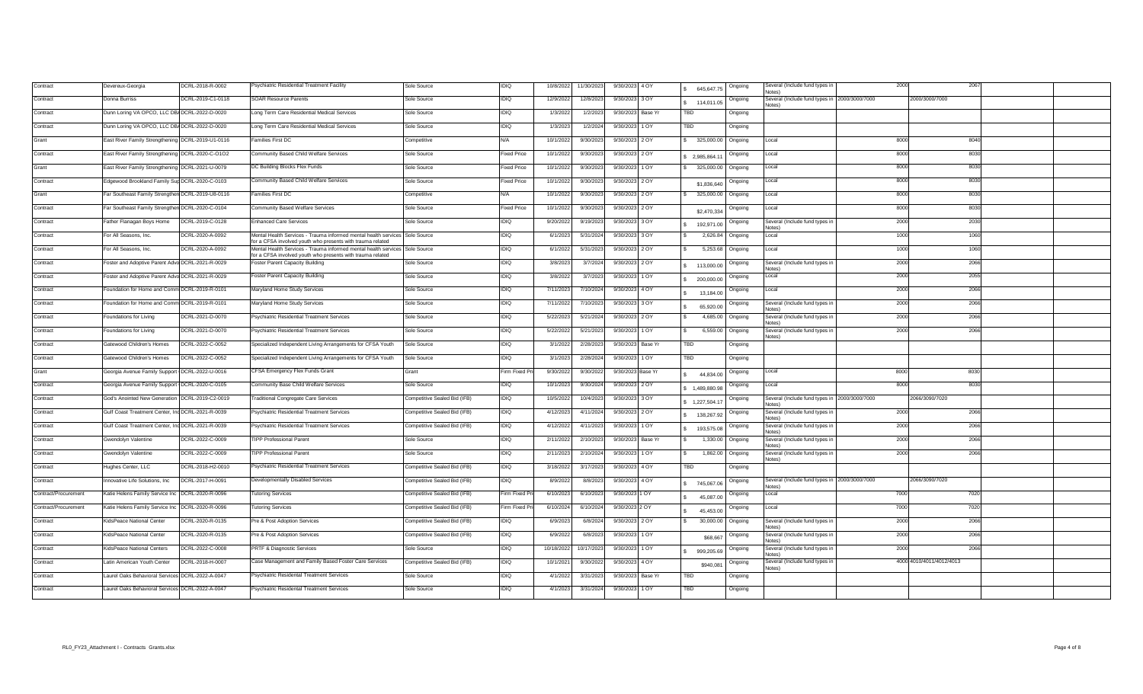| Contract             | Devereux-Georgia                                  | DCRL-2018-R-0002  | Psychiatric Residential Treatment Facility                                                                                    | Sole Source                  | IDIQ           | 10/8/2022  | 11/30/2023 | 9/30/2023 4 OY    |         | 645.647.75       | Ongoing | Several (Include fund types in<br>Notes)                |      | 2067                     |  |
|----------------------|---------------------------------------------------|-------------------|-------------------------------------------------------------------------------------------------------------------------------|------------------------------|----------------|------------|------------|-------------------|---------|------------------|---------|---------------------------------------------------------|------|--------------------------|--|
| ontract              | Donna Burriss                                     | DCRL-2019-C1-0118 | <b>SOAR Resource Parents</b>                                                                                                  | Sole Source                  | <b>IDIQ</b>    | 12/9/2022  | 12/8/2023  | 9/30/2023 3 OY    |         | \$ 114,011,05    | Ongoing | Several (Include fund types in 2000/3000/7000<br>Notes) |      | 2000/3000/7000           |  |
| <b>Contract</b>      | Dunn Loring VA OPCO, LLC DB/ DCRL-2022-D-0020     |                   | Long Term Care Residential Medical Services                                                                                   | Sole Source                  | <b>IDIQ</b>    | 1/3/2022   | 1/2/2023   | 9/30/2023 Base Yr |         | <b>TBD</b>       | Ongoing |                                                         |      |                          |  |
| <b>Contract</b>      | Dunn Loring VA OPCO, LLC DB/ DCRL-2022-D-0020     |                   | Long Term Care Residential Medical Services                                                                                   | Sole Source                  | <b>IDIQ</b>    | 1/3/2023   | 1/2/2024   | 9/30/2023         | 1 OY    | TBD              | Ongoing |                                                         |      |                          |  |
| Grant                | East River Family Strengthening DCRL-2019-U1-0116 |                   | Families First DC                                                                                                             | Competitive                  | N/A            | 10/1/202   | 9/30/2023  | 9/30/2023 2 OY    |         | 325,000.00       | Ongoing | Local                                                   | 8000 | 8040                     |  |
| ontract              | East River Family Strengthening DCRL-2020-C-O1O2  |                   | Community Based Child Welfare Services                                                                                        | Sole Source                  | ixed Price     | 10/1/202   | 9/30/2023  | 9/30/2023 2 OY    |         | 2.985.864.11     | Ongoing | Local                                                   | 8000 | 8030                     |  |
| Grant                | East River Family Strengthening DCRL-2021-U-0079  |                   | DC Building Blocks Flex Funds                                                                                                 | Sole Source                  | ixed Price     | 10/1/202   | 9/30/202   | 9/30/2023         | 1 OY    | 325,000.00       | Ongoing | Local                                                   | 8000 | 8030                     |  |
| Contract             | Edgewood Brookland Family Sup DCRL-2020-C-0103    |                   | Community Based Child Welfare Services                                                                                        | Sole Source                  | ixed Price     | 10/1/2022  | 9/30/2023  | 9/30/2023 2 OY    |         | \$1,836,640      | Ongoing | Local                                                   | 8000 | 8030                     |  |
| <b>Grant</b>         | ar Southeast Family Strengthen DCRL-2019-U8-0116  |                   | amilies First DC                                                                                                              | Competitive                  | N/A            | 10/1/2022  | 9/30/2023  | 9/30/2023         | 2 OY    | 325,000.00       | Ongoing | Local                                                   | 8000 | 8030                     |  |
| <b>Contract</b>      | Far Southeast Family Strengthen DCRL-2020-C-0104  |                   | Community Based Welfare Services                                                                                              | Sole Source                  | ixed Price     | 10/1/202   | 9/30/2023  | 9/30/2023 2 OY    |         | \$2,470,334      | Ongoing | Local                                                   | 8000 | 8030                     |  |
| ontract              | Father Flanagan Boys Home                         | DCRL-2019-C-0128  | <b>Enhanced Care Services</b>                                                                                                 | Sole Source                  | IDIQ           | 9/20/202   | 9/19/2023  | 9/30/2023 3 OY    |         | 192,971.00       | Ongoing | Several (Include fund types in<br>Notes)                | 2000 | 2030                     |  |
| <b>Contract</b>      | For All Seasons, Inc.                             | DCRL-2020-A-0092  | Mental Health Services - Trauma informed mental health services<br>for a CFSA involved youth who presents with trauma related | Sole Source                  | <b>IDIQ</b>    | 6/1/2023   | 5/31/2024  | 9/30/2023 3 OY    |         | 2,626.84 Ongoing |         | Local                                                   | 1000 | 1060                     |  |
| <b>Contract</b>      | For All Seasons, Inc.                             | DCRL-2020-A-0092  | Mental Health Services - Trauma informed mental health services<br>for a CFSA involved youth who presents with trauma related | Sole Source                  | <b>IDIQ</b>    | 6/1/2022   | 5/31/2023  | 9/30/2023 2 OY    |         | 5,253.68         | Ongoing | Local                                                   | 1000 | 1060                     |  |
| <b>Contract</b>      | oster and Adoptive Parent Advo DCRL-2021-R-0029   |                   | Foster Parent Capacity Building                                                                                               | Sole Source                  | IDIQ           | 3/8/2023   | 3/7/2024   | 9/30/2023 2 OY    |         | 113,000.00       | Ongoing | Several (Include fund types in<br>( <i>petol</i>        | 2000 | 2066                     |  |
| <b>Contract</b>      | oster and Adoptive Parent Advo DCRL-2021-R-0029   |                   | Foster Parent Capacity Building                                                                                               | Sole Source                  | IDIQ           | 3/8/2022   | 3/7/2023   | 9/30/2023         | 1 OY    | 200,000.00       | Ongoing | Local                                                   | 2000 | 2055                     |  |
| <b>Contract</b>      | Foundation for Home and Comm DCRL-2019-R-0101     |                   | Maryland Home Study Services                                                                                                  | Sole Source                  | IDIQ           | 7/11/2023  | 7/10/2024  | 9/30/2023 4 OY    |         | 13,184.00        | Ongoing | Local                                                   | 2000 | 2066                     |  |
| <b>Contract</b>      | Foundation for Home and Comm DCRL-2019-R-0101     |                   | Maryland Home Study Services                                                                                                  | Sole Source                  | IDIQ           | 7/11/2022  | 7/10/2023  | 9/30/2023         | 3 OY    | 65,920.00        | Ongoing | Several (Include fund types ir<br><b>Notes</b>          | 2000 | 2066                     |  |
| <b>Contract</b>      | oundations for Living                             | DCRL-2021-D-0070  | Psychiatric Residential Treatment Services                                                                                    | Sole Source                  | IDIQ           | 5/22/202   | 5/21/2024  | 9/30/2023 2 OY    |         | 4,685.00         | Ongoing | Several (Include fund types ir<br>lotes)                | 2000 | 2066                     |  |
| <b>Contract</b>      | oundations for Living                             | DCRL-2021-D-0070  | Psychiatric Residential Treatment Services                                                                                    | Sole Source                  | IDIQ           | 5/22/202   | 5/21/2023  | 9/30/2023         | 1 OY    | 6,559.00         | Ongoing | Several (Include fund types in<br><b>Notes</b> )        | 2000 | 2066                     |  |
| ontract              | atewood Children's Homes                          | DCRL-2022-C-0052  | Specialized Independent Living Arrangements for CFSA Youth                                                                    | Sole Source                  | IDIQ           | 3/1/2022   | 2/28/2023  | 9/30/2023         | Base Yr | TBD              | Ongoing |                                                         |      |                          |  |
| ontract              | atewood Children's Homes                          | DCRL-2022-C-0052  | Specialized Independent Living Arrangements for CFSA Youth                                                                    | Sole Source                  | IDIQ           | 3/1/2023   | 2/28/2024  | 9/30/2023 1 OY    |         | TBD              | Ongoing |                                                         |      |                          |  |
| <b>Grant</b>         | Georgia Avenue Family Support DCRL-2022-U-0016    |                   | CFSA Emergency Flex Funds Grant                                                                                               | Grant                        | Firm Fixed Pri | 9/30/202   | 9/30/2022  | 9/30/2023 Base Yr |         | 44,834.00        | Ongoing | Local                                                   | 8000 | 8030                     |  |
| <b>Contract</b>      | Georgia Avenue Family Support                     | DCRL-2020-C-0105  | <b>Community Base Child Welfare Services</b>                                                                                  | Sole Source                  | <b>IDIQ</b>    | 10/1/2023  | 9/30/2024  | 9/30/2023 2 OY    |         | \$1.489,880.98   | Ongoing | Local                                                   | 8000 | 8030                     |  |
| <b>Contract</b>      | God's Anointed New Generation                     | DCRL-2019-C2-0019 | <b>Traditional Congregate Care Services</b>                                                                                   | Competitive Sealed Bid (IFB) | <b>IDIQ</b>    | 10/5/2022  | 10/4/2023  | 9/30/2023 3 OY    |         | 1,227,504.17     | Ongoing | Several (Include fund types in 2000/3000/7000<br>Notes) |      | 2066/3090/7020           |  |
| <b>Contract</b>      | Gulf Coast Treatment Center, In                   | CDCRL-2021-R-0039 | Psychiatric Residential Treatment Services                                                                                    | Competitive Sealed Bid (IFB) | <b>IDIQ</b>    | 4/12/2023  | 4/11/2024  | 9/30/2023 2 OY    |         | 138,267.92       | Ongoing | Several (Include fund types ir<br>( <i>petol</i>        | 2000 | 2066                     |  |
| <b>Contract</b>      | Gulf Coast Treatment Center, Inc DCRL-2021-R-0039 |                   | Psychiatric Residential Treatment Services                                                                                    | Competitive Sealed Bid (IFB) | <b>IDIQ</b>    | 4/12/202   | 4/11/2023  | 9/30/2023 1 OY    |         | 193,575.08       | Ongoing | Several (Include fund types in<br>Notes)                | 2000 | 2066                     |  |
| <b>Contract</b>      | Gwendolyn Valentine                               | DCRL-2022-C-0009  | <b>TIPP Professional Parent</b>                                                                                               | Sole Source                  | IDIQ           | 2/11/202   | 2/10/2023  | 9/30/2023         | Base Yr | 1,330.00         | Ongoing | Several (Include fund types in<br><b>Notes</b>          | 2000 | 2066                     |  |
| contract             | Gwendolvn Valentine                               | DCRL-2022-C-0009  | <b>TIPP Professional Parent</b>                                                                                               | Sole Source                  | IDIQ           | 2/11/2023  | 2/10/2024  | 9/30/2023         | 1 OY    | 1,862.00         | Ongoing | Several (Include fund types in<br><b>Votes)</b>         | 2000 | 2066                     |  |
| ontract              | lughes Center, LLC                                | DCRL-2018-H2-0010 | Psychiatric Residential Treatment Services                                                                                    | Competitive Sealed Bid (IFB) | IDIQ           | 3/18/2022  | 3/17/2023  | 9/30/2023 4 OY    |         | TBD              | Ongoing |                                                         |      |                          |  |
| <b>Contract</b>      | nnovative Life Solutions, Inc                     | DCRL-2017-H-0091  | Developmentally Disabled Services                                                                                             | Competitive Sealed Bid (IFB) | IDIQ           | 8/9/2022   | 8/8/2023   | 9/30/2023         | 4 OY    | 745,067.06       | Ongoing | Several (Include fund types in 2000/3000/7000<br>Notes) |      | 2066/3090/7020           |  |
| Contract/Procurement | Katie Helens Family Service Inc DCRL-2020-R-0096  |                   | <b>Tutoring Services</b>                                                                                                      | Competitive Sealed Bid (IFB) | irm Fixed Pri  | 6/10/2023  | 6/10/2023  | 9/30/2023 1 OY    |         | 45,087.00        | Ongoing | Local                                                   | 7000 | 7020                     |  |
| Contract/Procurement | Katie Helens Family Service Inc DCRL-2020-R-0096  |                   | <b>Tutoring Services</b>                                                                                                      | Competitive Sealed Bid (IFB) | Firm Fixed Pri | 6/10/2024  | 6/10/2024  | 9/30/2023 2 OY    |         | 45,453.00        | Ongoing | Local                                                   | 7000 | 7020                     |  |
| Contract             | KidsPeace National Center                         | DCRL-2020-R-0135  | Pre & Post Adoption Services                                                                                                  | Competitive Sealed Bid (IFB) | IDIQ           | 6/9/2023   | 6/8/2024   | 9/30/2023 2 OY    |         | 30,000.00        | Ongoing | Several (Include fund types in                          | 2000 | 2066                     |  |
| Contract             | KidsPeace National Center                         | DCRL-2020-R-0135  | Pre & Post Adoption Services                                                                                                  | Competitive Sealed Bid (IFB) | <b>IDIQ</b>    | 6/9/2022   | 6/8/2023   | 9/30/2023         | 1 OY    | \$68,667         | Ongoing | Several (Include fund types in<br>Notes)                | 2000 | 2066                     |  |
| <b>Contract</b>      | KidsPeace National Centers                        | DCRL-2022-C-0008  | <b>PRTF &amp; Diagnostic Services</b>                                                                                         | Sole Source                  | <b>IDIQ</b>    | 10/18/2022 | 10/17/2023 | 9/30/2023         | 1 OY    | 999,205.69       | Ongoing | Several (Include fund types in<br>( <i>petol</i>        | 2000 | 2066                     |  |
| <b>Contract</b>      | atin American Youth Center                        | DCRL-2018-H-0007  | Case Management and Family Based Foster Care Services                                                                         | Competitive Sealed Bid (IFB) | <b>IDIQ</b>    | 10/1/202   | 9/30/2022  | 9/30/2023 4 OY    |         | \$940,081        | Ongoing | Several (Include fund types in<br>Notes)                |      | 4000 4010/4011/4012/4013 |  |
| ontract              | Laurel Oaks Behavioral Services DCRL-2022-A-0047  |                   | Psychiatric Residental Treatment Services                                                                                     | Sole Source                  | IDIQ           | 4/1/2022   | 3/31/202   | 9/30/2023         | Base Yr | TBD              | Ongoing |                                                         |      |                          |  |
| Contract             | aurel Oaks Behavioral Services DCRL-2022-A-0047   |                   | Psychiatric Residental Treatment Services                                                                                     | Sole Source                  | IDIQ           | 4/1/2023   | 3/31/2024  | 9/30/2023         | 1 OY    | TBD              | Ongoing |                                                         |      |                          |  |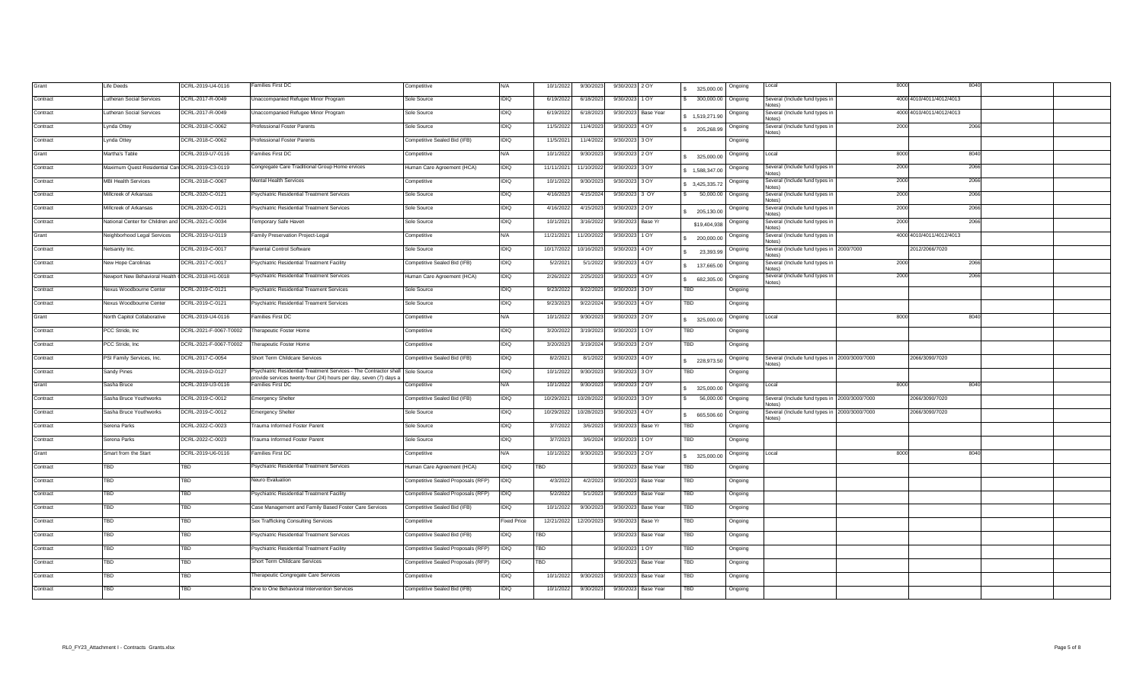| Grant    | Life Deeds                                        | DCRL-2019-U4-0116       | Families First DC                                                                                                                                 | Competitive                        | N/A.        | 10/1/2022  | 9/30/2023  | 9/30/2023 2 OY                | Ongoing<br>325,000.00   | Local                                                         | 8000 | 8040                     |  |
|----------|---------------------------------------------------|-------------------------|---------------------------------------------------------------------------------------------------------------------------------------------------|------------------------------------|-------------|------------|------------|-------------------------------|-------------------------|---------------------------------------------------------------|------|--------------------------|--|
| Contract | <b>Lutheran Social Services</b>                   | DCRL-2017-R-0049        | Unaccompanied Refugee Minor Program                                                                                                               | Sole Source                        | IDIQ        | 6/19/2022  | 6/18/2023  | 9/30/2023 1 OY                | 300,000.00 Ongoing      | Several (Include fund types in                                |      | 4000 4010/4011/4012/4013 |  |
| Contract | <b>Lutheran Social Services</b>                   | DCRL-2017-R-0049        | Unaccompanied Refugee Minor Program                                                                                                               | Sole Source                        | <b>IDIQ</b> | 6/19/2022  | 6/18/2023  | 9/30/2023 Base Year           | Ongoing<br>1,519,271.90 | Several (Include fund types in<br>Notes)                      |      | 4000 4010/4011/4012/4013 |  |
| Contract | Lynda Ottey                                       | DCRL-2018-C-0062        | Professional Foster Parents                                                                                                                       | Sole Source                        | <b>IDIQ</b> | 11/5/2022  | 11/4/2023  | 9/30/2023 4 OY                | Ongoing<br>205,268.99   | Several (Include fund types in<br>Notes)                      | 2000 | 2066                     |  |
| Contract | Lynda Ottey                                       | DCRL-2018-C-0062        | Professional Foster Parents                                                                                                                       | Competitive Sealed Bid (IFB)       | IDIQ        | 11/5/202   | 11/4/2022  | 9/30/2023 3 OY                | Ongoing                 |                                                               |      |                          |  |
| Grant    | Martha's Table                                    | DCRL-2019-U7-0116       | Families First DC                                                                                                                                 | Competitive                        | N/A         | 10/1/202   | 9/30/2023  | 9/30/2023 2 OY                | Ongoing<br>325,000.00   | Local                                                         | 8000 | 8040                     |  |
| Contract | Maximum Quest Residential Care DCRL-2019-C3-0119  |                         | Congregate Care Traditional Group Home ervices                                                                                                    | Human Care Agreement (HCA)         | IDIQ        | 11/11/202  | 11/10/2022 | 9/30/2023 3 OY                | Ongoing<br>1.588.347.00 | Several (Include fund types in                                | 2000 | 2066                     |  |
| Contract | <b>MBI Health Services</b>                        | DCRL-2018-C-0067        | Mental Health Services                                                                                                                            | Competitive                        | IDIQ        | 10/1/202   | 9/30/2023  | 9/30/2023 3 OY                | Ongoing<br>3,425,335.72 | Several (Include fund types in                                | 2000 | 2066                     |  |
| Contract | Millcreek of Arkansas                             | DCRL-2020-C-0121        | Psychiatric Residential Treatment Services                                                                                                        | Sole Source                        | <b>IDIQ</b> | 4/16/2023  | 4/15/2024  | 9/30/2023 3 OY                | 50,000.00<br>Ongoing    | Several (Include fund types in                                | 2000 | 2066                     |  |
| Contract | <b>Millcreek of Arkansas</b>                      | DCRL-2020-C-0121        | <b>Psychiatric Residential Treatment Services</b>                                                                                                 | Sole Source                        | DIQ         | 4/16/202   | 4/15/2023  | 9/30/2023 2 OY                | Ongoing<br>205,130.00   | Several (Include fund types in<br>Notes)                      | 2000 | 2066                     |  |
| Contract | Vational Center for Children and DCRL-2021-C-0034 |                         | emporary Safe Haven                                                                                                                               | Sole Source                        | IDIQ        | 10/1/202   | 3/16/2022  | 9/30/2023 Base Yr             | Ongoing<br>\$19,404,938 | Several (Include fund types in<br>Notes)                      | 2000 | 2066                     |  |
| Grant    | Neighborhood Legal Services                       | DCRL-2019-U-0119        | amily Preservation Project-Legal                                                                                                                  | Competitive                        | N/A         | 11/21/202  | 11/20/2022 | 9/30/2023 1 OY                | Ongoing<br>200,000.00   | Several (Include fund types in<br>Notes)                      |      | 4000 4010/4011/4012/4013 |  |
| Contract | <b>Vetsanity Inc.</b>                             | DCRL-2019-C-0017        | arental Control Software                                                                                                                          | Sole Source                        | <b>IDIQ</b> | 10/17/2022 | 10/16/2023 | 9/30/2023 4 OY                | Ongoing<br>23,393.99    | Several (Include fund types in 2000/7000<br>Notes)            |      | 2012/2066/7020           |  |
| Contract | New Hope Carolinas                                | DCRL-2017-C-0017        | 'sychiatric Residential Treatment Facility                                                                                                        | Competitive Sealed Bid (IFB)       | <b>IDIQ</b> | 5/2/2021   | 5/1/2022   | 9/30/2023 4 OY                | Ongoing<br>137,665.00   | Several (Include fund types in<br>Notes)                      | 2000 | 2066                     |  |
| Contract | Newport New Behavioral Health (DCRL-2018-H1-0018  |                         | <sup>2</sup> sychiatric Residential Treatment Services                                                                                            | Human Care Agreement (HCA)         | IDIQ        | 2/26/2022  | 2/25/2023  | 9/30/2023 4 OY                | Ongoing<br>682,305.00   | Several (Include fund types in<br>Notes)                      | 2000 | 2066                     |  |
| Contract | <b>Vexus Woodbourne Center</b>                    | DCRL-2019-C-0121        | Psychiatric Residential Treament Services                                                                                                         | Sole Source                        | <b>IDIQ</b> | 9/23/2022  | 9/22/2023  | 9/30/2023 3 OY                | TBD<br>Ongoing          |                                                               |      |                          |  |
| Contract | <b>Vexus Woodbourne Center</b>                    | DCRL-2019-C-0121        | Psychiatric Residential Treament Services                                                                                                         | Sole Source                        | IDIQ        | 9/23/2023  | 9/22/2024  | 9/30/2023 4 OY                | TBD<br>Ongoing          |                                                               |      |                          |  |
| Grant    | North Capitol Collaborative                       | DCRL-2019-U4-0116       | amilies First DC                                                                                                                                  | Competitive                        | N/A         | 10/1/2022  | 9/30/2023  | 9/30/2023 2 OY                | Ongoing<br>325,000.00   | Local                                                         | 8000 | 8040                     |  |
| Contract | PCC Stride, Inc                                   | DCRL-2021-F-0067-T0002  | Therapeutic Foster Home                                                                                                                           | Competitive                        | IDIQ        | 3/20/202   | 3/19/2023  | 9/30/2023 1 OY                | TBD<br>Ongoing          |                                                               |      |                          |  |
| Contract | PCC Stride, Inc                                   | DCRL-2021-F-0067-T0002  | Therapeutic Foster Home                                                                                                                           | Competitive                        | IDIQ        | 3/20/2023  | 3/19/2024  | 9/30/2023 2 OY                | TBD<br>Ongoing          |                                                               |      |                          |  |
| Contract | PSI Family Services, Inc.                         | DCRL-2017-C-0054        | Short Term Childcare Services                                                                                                                     | Competitive Sealed Bid (IFB)       | IDIQ        | 8/2/2021   | 8/1/2022   | 9/30/2023 4 OY                | Ongoing<br>228,973.50   | Several (Include fund types in 2000/3000/7000<br><b>Notes</b> |      | 2066/3090/7020           |  |
| Contract | Sandy Pines                                       | DCRL-2019-D-0127        | 'sychiatric Residential Treatment Services - The Contractor shall Sole Source<br>rovide services twenty-four (24) hours per day, seven (7) days a |                                    | <b>IDIQ</b> | 10/1/2022  | 9/30/2023  | 9/30/2023 3 OY                | TBD<br>Ongoing          |                                                               |      |                          |  |
| Grant    | Sasha Bruce                                       | DCRL-2019-U3-0116       | amilies First DC                                                                                                                                  | Competitive                        | N/A         | 10/1/2022  | 9/30/2023  | 9/30/2023 2 OY                | Ongoing<br>325,000.00   |                                                               | 8000 | 8040                     |  |
| Contract | Sasha Bruce Youthworks                            | DCRL-2019-C-0012        | <b>Emergency Shelter</b>                                                                                                                          | Competitive Sealed Bid (IFB)       | IDIQ        | 10/29/2021 | 10/28/2022 | 9/30/2023 3 OY                | 56,000.00 Ongoing       | Several (Include fund types in 2000/3000/7000<br>Notes)       |      | 2066/3090/7020           |  |
| Contract | Sasha Bruce Youthworks                            | DCRL-2019-C-0012        | Emergency Shelter                                                                                                                                 | Sole Source                        | IDIQ        | 10/29/2022 | 10/28/2023 | 9/30/2023 4 OY                | Ongoing<br>665,506.60   | Several (Include fund types in 2000/3000/7000<br>Notes)       |      | 2066/3090/7020           |  |
| Contract | Serena Parks                                      | DCRL-2022-C-0023        | Trauma Informed Foster Parent                                                                                                                     | Sole Source                        | <b>IDIQ</b> | 3/7/2022   | 3/6/2023   | 9/30/2023 Base Yr             | TBD<br>Ongoing          |                                                               |      |                          |  |
| Contract | Serena Parks                                      | DCRL-2022-C-0023        | Trauma Informed Foster Parent                                                                                                                     | Sole Source                        | <b>IDIQ</b> | 3/7/2023   | 3/6/2024   | 9/30/2023 1 OY                | TBD<br>Ongoing          |                                                               |      |                          |  |
| Grant    | Smart from the Start                              | DCRL-2019-U6-0116       | Families First DC                                                                                                                                 | Competitive                        | N/A         | 10/1/202   | 9/30/2023  | 9/30/2023 2 OY                | Ongoing<br>325,000.00   | Local                                                         | 8000 | 8040                     |  |
| Contract | TBD                                               | $\overline{\text{IBD}}$ | Psychiatric Residential Treatment Services                                                                                                        | Human Care Agreement (HCA)         | IDIQ        | TBD        |            | 9/30/2023<br>Base Year        | TBD<br>Ongoing          |                                                               |      |                          |  |
| Contract | TBD                                               | <b>TBD</b>              | <b>Neuro Evaluation</b>                                                                                                                           | Competitive Sealed Proposals (RFP) | IDIQ        | 4/3/2022   | 4/2/2023   | 9/30/2023<br><b>Base Year</b> | TBD<br>Ongoing          |                                                               |      |                          |  |
| Contract | TBD                                               | <b>TBD</b>              | Psychiatric Residential Treatment Facility                                                                                                        | Competitive Sealed Proposals (RFP) | IDIQ        | 5/2/2022   | 5/1/2023   | 9/30/2023<br><b>Base Year</b> | TBD<br>Ongoing          |                                                               |      |                          |  |
| Contract | TBD                                               | <b>FBD</b>              | Case Management and Family Based Foster Care Services                                                                                             | Competitive Sealed Bid (IFB)       | IDIQ        | 10/1/2022  | 9/30/2023  | 9/30/2023<br><b>Base Year</b> | TBD<br>Ongoing          |                                                               |      |                          |  |
| Contract | BD.                                               | <b>TBD</b>              | Sex Trafficking Consulting Services                                                                                                               | Competitive                        | ixed Price  | 12/21/2022 | 12/20/2023 | 9/30/2023<br>Base Yr          | TBD<br>Ongoing          |                                                               |      |                          |  |
| Contract | TBD                                               | <b>FBD</b>              | 'sychiatric Residential Treatment Services                                                                                                        | Competitive Sealed Bid (IFB)       | IDIQ        | ГBD        |            | <b>Base Year</b><br>9/30/2023 | TBD<br>Ongoing          |                                                               |      |                          |  |
| Contract | TBD                                               | ГBD                     | 'sychiatric Residential Treatment Facility                                                                                                        | Competitive Sealed Proposals (RFP) | IDIQ        | TBD        |            | 9/30/2023 1 OY                | TBD<br>Ongoing          |                                                               |      |                          |  |
| Contract | TBD                                               | <b>TBD</b>              | Short Term Childcare Services                                                                                                                     | Competitive Sealed Proposals (RFP) | <b>IDIQ</b> | <b>TBD</b> |            | 9/30/2023 Base Year           | <b>TBD</b><br>Ongoing   |                                                               |      |                          |  |
| Contract | TBD                                               | <b>TBD</b>              | Therapeutic Congregate Care Services                                                                                                              | Competitive                        | IDIQ        | 10/1/2022  | 9/30/2023  | 9/30/2023 Base Year           | TBD<br>Ongoing          |                                                               |      |                          |  |
| Contract | TBD                                               | <b>FBD</b>              | One to One Behavioral Intervention Services                                                                                                       | Competitive Sealed Bid (IFB)       | IDIQ        | 10/1/2022  | 9/30/2023  | 9/30/2023 Base Year           | TBD<br>Ongoing          |                                                               |      |                          |  |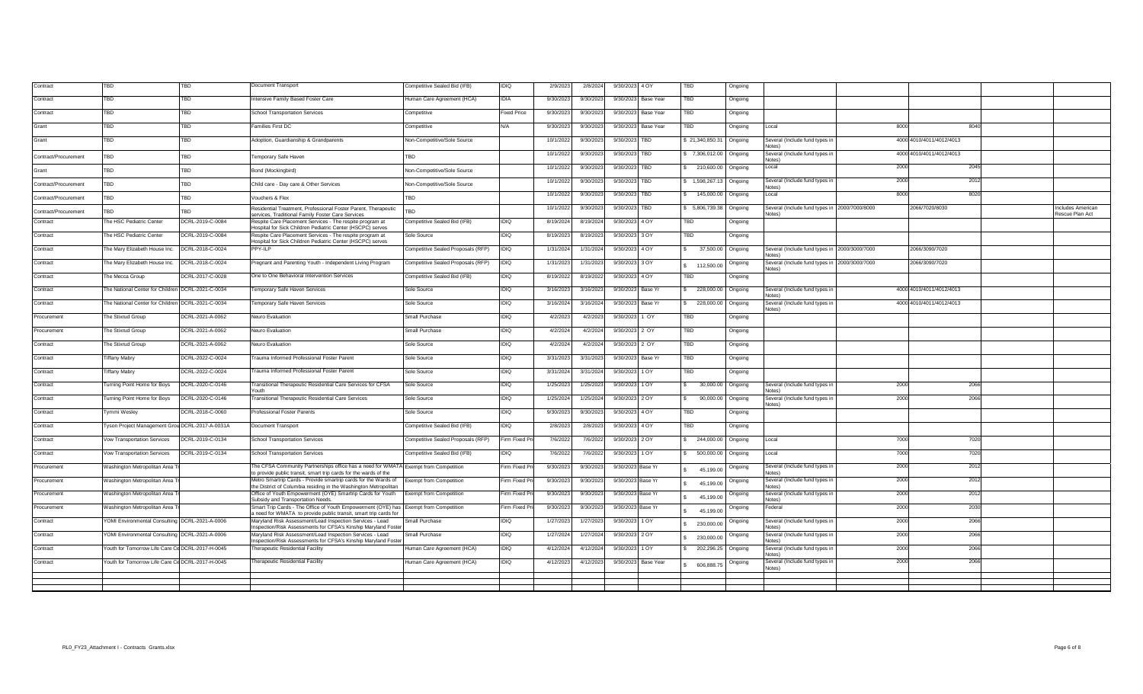| Contract             | TBD                                               | TBD              | Document Transport                                                                                                                                       | Competitive Sealed Bid (IFB)       | IDIQ               | 2/9/2023  | 2/8/2024  | 9/30/2023 4 OY         | <b>TBD</b>              | Ongoing |                                                         |      |                          |                                     |
|----------------------|---------------------------------------------------|------------------|----------------------------------------------------------------------------------------------------------------------------------------------------------|------------------------------------|--------------------|-----------|-----------|------------------------|-------------------------|---------|---------------------------------------------------------|------|--------------------------|-------------------------------------|
| Contract             | TBD                                               | <b>TBD</b>       | Intensive Family Based Foster Care                                                                                                                       | Human Care Agreement (HCA)         | <b>IDIA</b>        | 9/30/2023 | 9/30/2023 | 9/30/2023<br>Base Year | TBD                     | Ongoing |                                                         |      |                          |                                     |
| Contract             | TBD                                               | TBD              | <b>School Transportation Services</b>                                                                                                                    | Competitive                        | <b>Fixed Price</b> | 9/30/2023 | 9/30/2023 | 9/30/2023<br>Base Year | TBD                     | Ongoing |                                                         |      |                          |                                     |
| Grant                | TBD                                               | <b>TBD</b>       | amilies First DC                                                                                                                                         | Competitive                        | N/A                | 9/30/202  | 9/30/2023 | 9/30/2023<br>Base Year | TBD                     | Ongoing | Local                                                   | 8000 | 8040                     |                                     |
| Grant                | $\overline{\text{IBD}}$                           | <b>TBD</b>       | Adoption, Guardianship & Grandparents                                                                                                                    | Non-Competitive/Sole Source        |                    | 10/1/202  | 9/30/2023 | 9/30/2023<br>TBD       | \$21,340,850.31         | Ongoing | Several (Include fund types ir                          |      | 4000 4010/4011/4012/4013 |                                     |
| Contract/Procurement | TBD                                               | TBD              | <b>Temporary Safe Haven</b>                                                                                                                              | TBD                                |                    | 10/1/202  | 9/30/2023 | 9/30/2023<br>TBD       | \$ 7,306,012.00 Ongoing |         | Several (Include fund types in<br>Notes)                |      | 4000 4010/4011/4012/4013 |                                     |
| Grant                | TBD                                               | TBD              | Bond (Mockingbird)                                                                                                                                       | Non-Competitive/Sole Source        |                    | 10/1/202  | 9/30/2023 | 9/30/2023<br>TBD       | \$ 210,600.00 Ongoing   |         | Local                                                   | 2000 | 2045                     |                                     |
| Contract/Procurement | TBD                                               | TBD              | Child care - Day care & Other Services                                                                                                                   | Non-Competitive/Sole Source        |                    | 10/1/202  | 9/30/2023 | 9/30/2023<br>TBD       | \$ 1,598,267.13 Ongoing |         | Several (Include fund types ir                          | 2000 | 2012                     |                                     |
| Contract/Procurement | TBD                                               | TBD              | /ouchers & Flex                                                                                                                                          | TBD                                |                    | 10/1/202  | 9/30/2023 | 9/30/2023<br>TBD       | \$ 145,000.00 Ongoing   |         | l ocal                                                  | 8000 | 8020                     |                                     |
| Contract/Procurement | TBD                                               | TBD              | Residential Treatment, Professional Foster Parent, Therapeutic<br>services, Traditional Family Foster Care Services                                      | TBD                                |                    | 10/1/202  | 9/30/2023 | 9/30/2023<br>TBD       | \$ 5,806,739.38 Ongoing |         | Several (Include fund types in 2000/7000/8000<br>Notes) |      | 2066/7020/8030           | ncludes American<br>Rescue Plan Act |
| Contract             | The HSC Pediatric Center                          | DCRL-2019-C-0084 | Respite Care Placement Services - The respite program at<br>Hospital for Sick Children Pediatric Center (HSCPC) serves                                   | Competitive Sealed Bid (IFB)       | <b>IDIQ</b>        | 8/19/202  | 8/19/2024 | 9/30/2023 4 OY         | TBD                     | Ongoing |                                                         |      |                          |                                     |
| Contract             | The HSC Pediatric Center                          | DCRL-2019-C-0084 | Respite Care Placement Services - The respite program at<br>Hospital for Sick Children Pediatric Center (HSCPC) serves                                   | Sole Source                        | <b>IDIQ</b>        | 8/19/202  | 8/19/2023 | 9/30/2023 3 OY         | TBD                     | Ongoing |                                                         |      |                          |                                     |
| Contract             | The Mary Elizabeth House Inc.                     | DCRL-2018-C-0024 | PPY-ILP                                                                                                                                                  | Competitive Sealed Proposals (RFP) | <b>OICH</b>        | 1/31/202  | 1/31/2024 | 9/30/2023 4 OY         | 37,500.00               | Ongoing | Several (Include fund types in 2000/3000/7000<br>Jotac) |      | 2066/3090/7020           |                                     |
| Contract             | The Mary Elizabeth House Inc.                     | DCRL-2018-C-0024 | Pregnant and Parenting Youth - Independent Living Program                                                                                                | Competitive Sealed Proposals (RFP) | <b>DIQ</b>         | 1/31/202  | 1/31/2023 | 9/30/2023 3 OY         | \$ 112,500.00           | Ongoing | Several (Include fund types in 2000/3000/7000<br>Notes) |      | 2066/3090/7020           |                                     |
| Contract             | The Mecca Group                                   | DCRL-2017-C-0028 | One to One Behavioral Intervention Services                                                                                                              | Competitive Sealed Bid (IFB)       | <b>IDIQ</b>        | 8/19/202  | 8/19/2022 | 9/30/2023 4 OY         | <b>TBD</b>              | Ongoing |                                                         |      |                          |                                     |
| Contract             | The National Center for Children DCRL-2021-C-0034 |                  | <b>Temporary Safe Haven Services</b>                                                                                                                     | Sole Source                        | IDIQ               | 3/16/202  | 3/16/202  | 9/30/2023<br>Base Yr   | 228,000.00              | Ongoing | Several (Include fund types in<br>(2Atol                |      | 4000 4010/4011/4012/4013 |                                     |
| Contract             | The National Center for Children DCRL-2021-C-0034 |                  | <b>Temporary Safe Haven Services</b>                                                                                                                     | Sole Source                        | IDIQ               | 3/16/202  | 3/16/2024 | 9/30/2023<br>Base Yr   | \$ 228,000.00           | Ongoing | Several (Include fund types in<br>Notes)                |      | 4000 4010/4011/4012/4013 |                                     |
| rocurement           | The Stixrud Group                                 | DCRL-2021-A-0062 | Neuro Evaluation                                                                                                                                         | Small Purchase                     | IDIQ               | 4/2/202   | 4/2/2023  | 9/30/2023<br>1 OY      | TBD                     | Ongoing |                                                         |      |                          |                                     |
| rocurement           | The Stixrud Group                                 | DCRL-2021-A-0062 | Neuro Evaluation                                                                                                                                         | Small Purchase                     | IDIQ               | 4/2/202   | 4/2/2024  | 9/30/2023<br>2 OY      | <b>TBD</b>              | Ongoing |                                                         |      |                          |                                     |
| Contract             | The Stixrud Group                                 | DCRL-2021-A-0062 | Neuro Evaluation                                                                                                                                         | Sole Source                        | IDIQ               | 4/2/202   | 4/2/2024  | 9/30/2023<br>2 OY      | TBD                     | Ongoing |                                                         |      |                          |                                     |
| Contract             | <b>Tiffany Mabry</b>                              | DCRL-2022-C-0024 | Frauma Informed Professional Foster Parent                                                                                                               | Sole Source                        | IDIQ               | 3/31/202  | 3/31/2023 | 9/30/2023<br>Base Yr   | TBD                     | Ongoing |                                                         |      |                          |                                     |
| Contract             | <b>Tiffany Mabry</b>                              | DCRL-2022-C-0024 | <b>Trauma Informed Professional Foster Parent</b>                                                                                                        | Sole Source                        | IDIQ               | 3/31/202  | 3/31/2024 | 9/30/2023<br>1 OY      | TBD                     | Ongoing |                                                         |      |                          |                                     |
| Contract             | Turning Point Home for Boys                       | DCRL-2020-C-0146 | Fransitional Therapeutic Residential Care Services for CFSA<br>routh                                                                                     | Sole Source                        | <b>IDIQ</b>        | 1/25/202  | 1/25/2023 | 9/30/2023 1 OY         | 30,000.00               | Ongoing | Several (Include fund types in<br>Notes)                | 2000 | 2066                     |                                     |
| Contract             | Turning Point Home for Boys                       | DCRL-2020-C-0146 | <b>Fransitional Therapeutic Residential Care Services</b>                                                                                                | Sole Source                        | <b>IDIQ</b>        | 1/25/202  | 1/25/2024 | 9/30/2023 2 OY         | 90,000.00 Ongoing<br>s. |         | Several (Include fund types in<br>Notes)                | 2000 | 2066                     |                                     |
| Contract             | Tymmi Wesley                                      | DCRL-2018-C-0060 | <b>Professional Foster Parents</b>                                                                                                                       | Sole Source                        | <b>IDIQ</b>        | 9/30/202  | 9/30/2023 | 9/30/2023 4 OY         | TBD                     | Ongoing |                                                         |      |                          |                                     |
| Contract             | Tyson Project Management Grou DCRL-2017-A-0031A   |                  | Document Transport                                                                                                                                       | Competitive Sealed Bid (IFB)       | <b>IDIQ</b>        | 2/8/2023  | 2/8/2023  | 9/30/2023 4 OY         | TBD                     | Ongoing |                                                         |      |                          |                                     |
| Contract             | Vow Transportation Services                       | DCRL-2019-C-0134 | School Transportation Services                                                                                                                           | Competitive Sealed Proposals (RFP) | Firm Fixed F       | 7/6/2022  | 7/6/2022  | 9/30/2023 2 OY         | \$ 244,000.00           | Ongoing | Local                                                   | 7000 | 7020                     |                                     |
| Contract             | Vow Transportation Services                       | DCRL-2019-C-0134 | School Transportation Services                                                                                                                           | Competitive Sealed Bid (IFB)       | IDIQ               | 7/6/202   | 7/6/2022  | 9/30/2023<br>1 OY      | \$ 500,000.00           | Ongoing | Local                                                   | 7000 | 7020                     |                                     |
| Procurement          | Washington Metropolitan Area 1                    |                  | The CFSA Community Partnerships office has a need for WMATA Exempt from Competition<br>to provide public transit, smart trip cards for the wards of the  |                                    | Firm Fixed P       | 9/30/202  | 9/30/2023 | 9/30/2023 Base Yr      | 45,199.00               | Ongoing | Several (Include fund types in                          | 2000 | 2012                     |                                     |
| Procurement          | Vashington Metropolitan Area 7                    |                  | Metro Smartrip Cards - Provide smartrip cards for the Wards of<br>the District of Columbia residing in the Washington Metropolitan                       | <b>Exempt from Competition</b>     | Firm Fixed F       | 9/30/202  | 9/30/202  | 9/30/2023 Base Yr      | 45,199.00               | Ongoing | Several (Include fund types in                          | 2000 | 2012                     |                                     |
| Procurement          | Vashington Metropolitan Area 7                    |                  | Office of Youth Empowerment (OYE) Smartrip Cards for Youth<br>Subsidy and Transportation Needs.                                                          | <b>Exempt from Competition</b>     | Firm Fixed F       | 9/30/202  | 9/30/202  | 9/30/2023 Base Yr      | 45,199.00               | Ongoing | Several (Include fund types in<br><b>Votes)</b>         | 2000 | 2012                     |                                     |
| Procurement          | Washington Metropolitan Area 7                    |                  | Smart Trip Cards - The Office of Youth Empowerment (OYE) has Exempt from Competition<br>a need for WMATA to provide public transit, smart trip cards for |                                    | Firm Fixed F       | 9/30/202  | 9/30/202  | 9/30/2023 Base Yr      | 45,199.00               | Ongoing | Federal                                                 | 2000 | 2030                     |                                     |
| Contract             | OMI Environmental Consulting DCRL-2021-A-0006     |                  | Maryland Risk Assessment/Lead Inspection Services - Lead<br>nspection/Risk Assessments for CFSA's Kinship Maryland Foste                                 | Small Purchase                     | <b>IDIQ</b>        | 1/27/202  | 1/27/202  | 9/30/2023<br>1 OY      | 230,000.00              | Ongoing | Several (Include fund types in                          | 2000 | 2066                     |                                     |
| Contract             | OMI Environmental Consulting DCRL-2021-A-0006     |                  | Maryland Risk Assessment/Lead Inspection Services - Lead<br>nspection/Risk Assessments for CFSA's Kinship Maryland Foste                                 | Small Purchase                     | <b>IDIQ</b>        | 1/27/202  | 1/27/2024 | 9/30/2023<br>2 OY      | 230,000.00              | Ongoing | Several (Include fund types in                          | 2000 | 2066                     |                                     |
| Contract             | outh for Tomorrow Life Care Ce DCRL-2017-H-0045   |                  | Therapeutic Residential Facility                                                                                                                         | Human Care Agreement (HCA)         | DIQ                | 4/12/202  | 4/12/2024 | 1 OY<br>9/30/2023      | \$202,296.25            | Ongoing | Several (Include fund types in                          | 2000 | 2066                     |                                     |
| Contract             | outh for Tomorrow Life Care Ce DCRL-2017-H-0045   |                  | Therapeutic Residential Facility                                                                                                                         | Human Care Agreement (HCA)         | IDIQ               | 4/12/2023 | 4/12/2023 | 9/30/2023<br>Base Year | 606,888.75              | Ongoing | Several (Include fund types in                          | 2000 | 2066                     |                                     |
|                      |                                                   |                  |                                                                                                                                                          |                                    |                    |           |           |                        |                         |         |                                                         |      |                          |                                     |
|                      |                                                   |                  |                                                                                                                                                          |                                    |                    |           |           |                        |                         |         |                                                         |      |                          |                                     |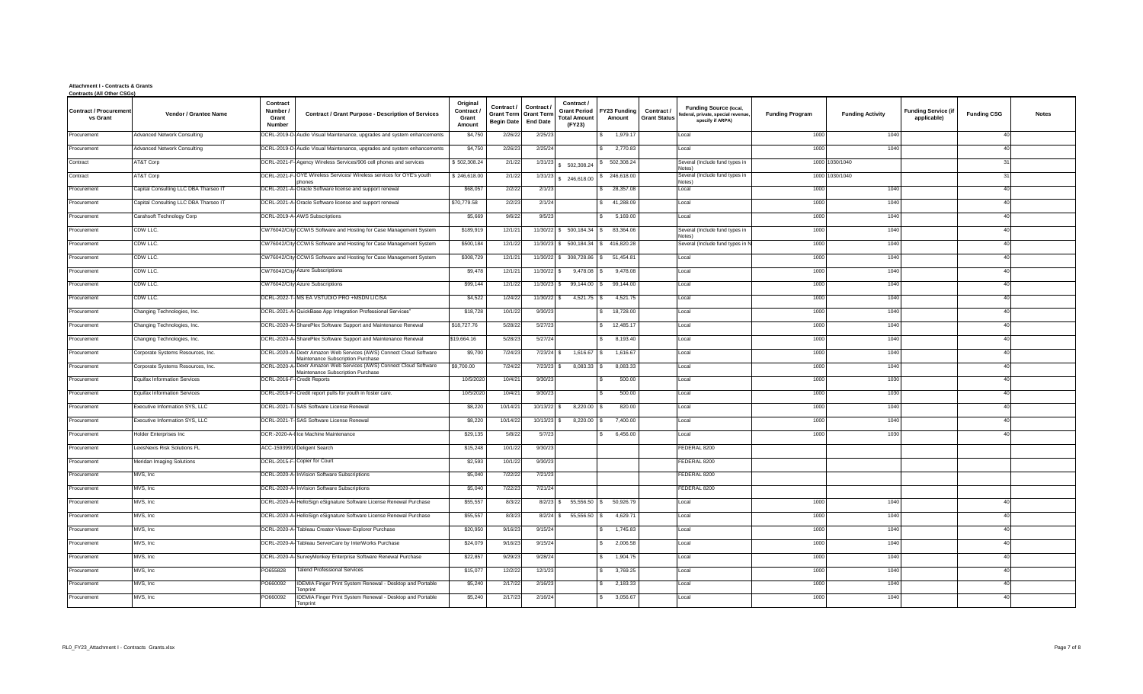## **Attachment I - Contracts & Grants Contracts (All Other CSGs)**

| <u>Contracts (All Other CSGS</u>          |                                       |                                                                                                          |                                         |                                                      |                                                  |                                                                    |                           |                                   |                                                                                        |                        |                         |                                           |                    |              |
|-------------------------------------------|---------------------------------------|----------------------------------------------------------------------------------------------------------|-----------------------------------------|------------------------------------------------------|--------------------------------------------------|--------------------------------------------------------------------|---------------------------|-----------------------------------|----------------------------------------------------------------------------------------|------------------------|-------------------------|-------------------------------------------|--------------------|--------------|
| <b>Contract / Procurement</b><br>vs Grant | Vendor / Grantee Name                 | Contract<br>Number /<br><b>Contract / Grant Purpose - Description of Services</b><br>Grant<br>Number     | Original<br>Contract<br>Grant<br>Amount | Contract /<br><b>Grant Term</b><br><b>Begin Date</b> | Contract<br><b>Grant Terr</b><br><b>End Date</b> | Contract /<br><b>Grant Period</b><br><b>Total Amount</b><br>(FY23) | FY23 Funding<br>Amount    | Contract /<br><b>Grant Status</b> | <b>Funding Source (local,</b><br>federal, private, special revenue<br>specify if ARPA) | <b>Funding Program</b> | <b>Funding Activity</b> | <b>Funding Service (if</b><br>applicable) | <b>Funding CSG</b> | <b>Notes</b> |
| Procurement                               | <b>Advanced Network Consulting</b>    | OCRL-2019-D-Audio Visual Maintenance, upgrades and system enhancements                                   | \$4,750                                 | 2/26/22                                              | 2/25/23                                          |                                                                    | 1,979.17                  |                                   | Local                                                                                  | 1000                   | 1040                    |                                           | 40                 |              |
| Procurement                               | <b>Advanced Network Consulting</b>    | DCRL-2019-D-Audio Visual Maintenance, upgrades and system enhancements                                   | \$4,750                                 | 2/26/23                                              | 2/25/24                                          |                                                                    | 2,770.83                  |                                   | Local                                                                                  | 1000                   | 1040                    |                                           | 40                 |              |
| Contract                                  | AT&T Corp                             | DCRL-2021-F- Agency Wireless Services/906 cell phones and services                                       | \$502,308.24                            | 2/1/22                                               | 1/31/23                                          | 5 502,308.24                                                       | \$ 502,308.24             |                                   | Several (Include fund types in<br>Notes)                                               | 1000                   | 1030/1040               |                                           | 31                 |              |
| Contract                                  | AT&T Corp                             | DCRL-2021-F-OYE Wireless Services/ Wireless services for OYE's youth<br>ohones                           | \$246,618.00                            | 2/1/22                                               | 1/31/23                                          | 246,618.00                                                         | 246,618.00                |                                   | Several (Include fund types in<br>Notes)                                               | 1000                   | 1030/1040               |                                           | 31                 |              |
| Procurement                               | Capital Consulting LLC DBA Tharseo IT | DCRL-2021-A-Oracle Software license and support renewal                                                  | \$68,057                                | 2/2/22                                               | 2/1/23                                           |                                                                    | 28,357.08                 |                                   | Local                                                                                  | 1000                   | 1040                    |                                           | 40                 |              |
| Procurement                               | Capital Consulting LLC DBA Tharseo IT | DCRL-2021-A-Oracle Software license and support renewal                                                  | \$70,779.58                             | 2/2/23                                               | 2/1/24                                           |                                                                    | $\mathbf{s}$<br>41,288.09 |                                   | Local                                                                                  | 1000                   | 1040                    |                                           | 40                 |              |
| Procurement                               | Carahsoft Technology Corp             | DCRL-2019-A-AWS Subscriptions                                                                            | \$5,669                                 | 9/6/22                                               | 9/5/23                                           |                                                                    | 5,169.00<br>-SS           |                                   | Local                                                                                  | 1000                   | 1040                    |                                           | 40                 |              |
| Procurement                               | CDW LLC.                              | CW76042/City CCWIS Software and Hosting for Case Management System                                       | \$189,919                               | 12/1/21                                              | 11/30/22                                         | \$ 500,184.34                                                      | 83,364.06                 |                                   | Several (Include fund types in<br><b>Notes</b>                                         | 1000                   | 1040                    |                                           | 40                 |              |
| Procurement                               | CDW LLC.                              | CW76042/City CCWIS Software and Hosting for Case Management System                                       | \$500,184                               | 12/1/22                                              | 11/30/23                                         | \$ 500,184.34                                                      | 416,820.28                |                                   | Several (Include fund types in                                                         | 100                    | 1040                    |                                           | 40                 |              |
| Procurement                               | CDW LLC.                              | CW76042/City CCWIS Software and Hosting for Case Management System                                       | \$308,729                               | 12/1/2                                               | 11/30/22                                         | \$ 308,728.86                                                      | 51,454.8                  |                                   | Local                                                                                  | 100                    | 1040                    |                                           | 40                 |              |
| Procurement                               | CDW LLC.                              | CW76042/City Azure Subscriptions                                                                         | \$9,478                                 | 12/1/2                                               | 11/30/22                                         | 9,478.08                                                           | 9,478.08                  |                                   | Local                                                                                  | 1000                   | 1040                    |                                           | 40                 |              |
| Procurement                               | CDW LLC.                              | CW76042/City Azure Subscriptions                                                                         | \$99,144                                | 12/1/22                                              | 11/30/23                                         | 99.144.00                                                          | 99.144.00                 |                                   | Local                                                                                  | 1000                   | 1040                    |                                           | 40                 |              |
| Procurement                               | CDW LLC.                              | DCRL-2022-T- MS EA VSTUDIO PRO +MSDN LIC/SA                                                              | \$4,522                                 | 1/24/22                                              | 11/30/22                                         | 4,521.75                                                           | 4,521.75                  |                                   | Local                                                                                  | 1000                   | 1040                    |                                           | 40                 |              |
| Procurement                               | Changing Technologies, Inc.           | DCRL-2021-A-QuickBase App Integration Professional Services"                                             | \$18,728                                | 10/1/22                                              | 9/30/23                                          |                                                                    | 18,728.00                 |                                   | Local                                                                                  | 1000                   | 1040                    |                                           | 40                 |              |
| Procurement                               | Changing Technologies, Inc.           | DCRL-2020-A-SharePlex Software Support and Maintenance Renewal                                           | \$18,727.76                             | 5/28/22                                              | 5/27/23                                          |                                                                    | 12,485.1                  |                                   | Local                                                                                  | 1000                   | 1040                    |                                           | 40                 |              |
| Procurement                               | Changing Technologies, Inc.           | DCRL-2020-A-SharePlex Software Support and Maintenance Renewal                                           | \$19,664.16                             | 5/28/2                                               | 5/27/24                                          |                                                                    | 8,193.40                  |                                   | Local                                                                                  | 100                    | 1040                    |                                           | 40                 |              |
| Procurement                               | Corporate Systems Resources, Inc.     | DCRL-2020-A- Dextr Amazon Web Services (AWS) Connect Cloud Software<br>Maintenance Subscription Purchase | \$9,700                                 | 7/24/23                                              | 7/23/24                                          | 1,616.67                                                           | 1,616.67                  |                                   | Local                                                                                  | 100                    | 1040                    |                                           | 40                 |              |
| Procurement                               | Corporate Systems Resources, Inc.     | DCRL-2020-A- Dextr Amazon Web Services (AWS) Connect Cloud Software<br>Maintenance Subscription Purchase | \$9,700.00                              | 7/24/22                                              | 7/23/23                                          | 8,083.33                                                           | 8,083.33                  |                                   | Local                                                                                  | 100                    | 1040                    |                                           | 40                 |              |
| Procurement                               | <b>Equifax Information Services</b>   | DCRL-2016-F- Credit Reports                                                                              | 10/5/202                                | 10/4/21                                              | 9/30/23                                          |                                                                    | 500.00                    |                                   | Local                                                                                  | 1000                   | 1030                    |                                           | 40                 |              |
| Procurement                               | <b>Equifax Information Services</b>   | DCRL-2016-F- Credit report pulls for youth in foster care.                                               | 10/5/202                                | 10/4/21                                              | 9/30/23                                          |                                                                    | 500.00                    |                                   | Local                                                                                  | 1000                   | 1030                    |                                           | 40                 |              |
| Procurement                               | Executive Information SYS, LLC        | DCRL-2021-T-SAS Software License Renewal                                                                 | \$8,220                                 | 10/14/21                                             | 10/13/22                                         | 8,220.00                                                           | 820.00                    |                                   | Local                                                                                  | 1000                   | 1040                    |                                           | 40                 |              |
| Procurement                               | Executive Information SYS, LLC        | DCRL-2021-T-SAS Software License Renewal                                                                 | \$8,220                                 | 10/14/22                                             | 10/13/23                                         | 8,220.00                                                           | 7,400.00                  |                                   | Local                                                                                  | 1000                   | 1040                    |                                           | 40                 |              |
| Procurement                               | <b>Holder Enterprises Inc</b>         | DCR:-2020-A-I Ice Machine Maintenance                                                                    | \$29,135                                | 5/8/22                                               | 5/7/23                                           |                                                                    | 6,456.00                  |                                   | Local                                                                                  | 1000                   | 1030                    |                                           | 40                 |              |
| Procurement                               | exisNexis Risk Solutions FL           | ACC-1593991/ Deligent Search                                                                             | \$15,248                                | 10/1/22                                              | 9/30/23                                          |                                                                    |                           |                                   | FEDERAL 8200                                                                           |                        |                         |                                           |                    |              |
| Procurement                               | Meridan Imaging Solutions             | DCRL-2015-F- Copier for Court                                                                            | \$2,593                                 | 10/1/22                                              | 9/30/23                                          |                                                                    |                           |                                   | FEDERAL 8200                                                                           |                        |                         |                                           |                    |              |
| Procurement                               | MVS, Inc                              | DCRL-2020-A- InVision Software Subscriptions                                                             | \$5,040                                 | 7/22/22                                              | 7/21/23                                          |                                                                    |                           |                                   | FEDERAL 8200                                                                           |                        |                         |                                           |                    |              |
| Procurement                               | MVS, Inc                              | DCRL-2020-A- InVision Software Subscriptions                                                             | \$5,040                                 | 7/22/23                                              | 7/21/24                                          |                                                                    |                           |                                   | FEDERAL 8200                                                                           |                        |                         |                                           |                    |              |
| Procurement                               | MVS, Inc.                             | DCRL-2020-A-HelloSign eSignature Software License Renewal Purchase                                       | \$55,557                                | 8/3/22                                               | 8/2/23                                           | 55,556.50                                                          | 50,926.79<br>$\sim$       |                                   | Local                                                                                  | 100                    | 1040                    |                                           | 40                 |              |
| Procurement                               | MVS, Inc.                             | DCRL-2020-A-HelloSign eSignature Software License Renewal Purchase                                       | \$55,557                                | 8/3/23                                               | 8/2/24                                           | 55,556.50                                                          | 4,629.7                   |                                   | Local                                                                                  | 100                    | 1040                    |                                           | 40                 |              |
| Procurement                               | MVS, Inc                              | DCRL-2020-A-<br>Tableau Creator-Viewer-Explorer Purchase                                                 | \$20,950                                | 9/16/23                                              | 9/15/24                                          |                                                                    | 1,745.83                  |                                   | Local                                                                                  | 1000                   | 1040                    |                                           | 40                 |              |
| Procurement                               | MVS, Inc                              | DCRL-2020-A-<br>Tableau ServerCare by InterWorks Purchase                                                | \$24,079                                | 9/16/23                                              | 9/15/24                                          |                                                                    | 2,006.5                   |                                   | Local                                                                                  | 1000                   | 1040                    |                                           | 40                 |              |
| Procurement                               | MVS, Inc.                             | DCRL-2020-A-SurveyMonkey Enterprise Software Renewal Purchase                                            | \$22,857                                | 9/29/2                                               | 9/28/24                                          |                                                                    | 1,904.7                   |                                   | Local                                                                                  | 1000                   | 1040                    |                                           | 40                 |              |
| Procurement                               | MVS, Inc                              | O655828<br><b>Talend Professional Services</b>                                                           | \$15,077                                | 12/2/22                                              | 12/1/23                                          |                                                                    | 3,769.25                  |                                   | Local                                                                                  | 100                    | 1040                    |                                           | 40                 |              |
| Procurement                               | MVS, Inc.                             | PO660092<br>IDEMIA Finger Print System Renewal - Desktop and Portable<br><b>Fenprint</b>                 | \$5,240                                 | 2/17/22                                              | 2/16/23                                          |                                                                    | 2,183.33                  |                                   | Local                                                                                  | 100                    | 1040                    |                                           | 40                 |              |
| Procurement                               | MVS, Inc.                             | O660092<br>IDEMIA Finger Print System Renewal - Desktop and Portable<br>Tenprint                         | \$5,240                                 | 2/17/23                                              | 2/16/24                                          |                                                                    | 3,056.67                  |                                   | Local                                                                                  | 100                    | 1040                    |                                           |                    |              |